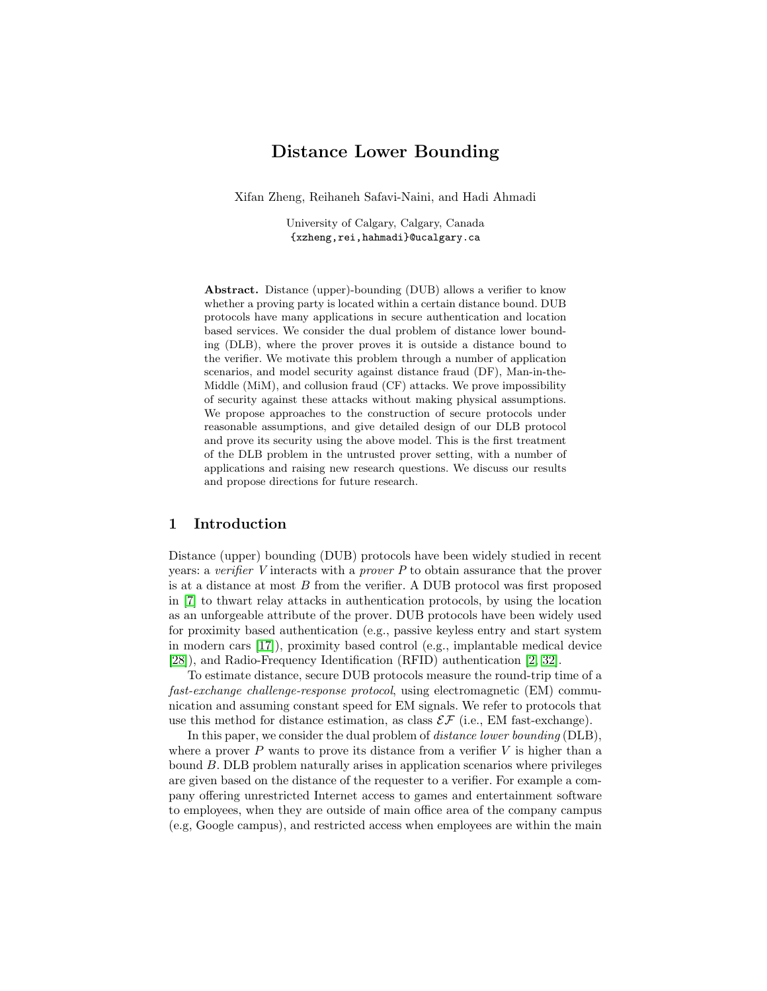# Distance Lower Bounding

Xifan Zheng, Reihaneh Safavi-Naini, and Hadi Ahmadi

University of Calgary, Calgary, Canada {xzheng,rei,hahmadi}@ucalgary.ca

Abstract. Distance (upper)-bounding (DUB) allows a verifier to know whether a proving party is located within a certain distance bound. DUB protocols have many applications in secure authentication and location based services. We consider the dual problem of distance lower bounding (DLB), where the prover proves it is outside a distance bound to the verifier. We motivate this problem through a number of application scenarios, and model security against distance fraud (DF), Man-in-the-Middle (MiM), and collusion fraud (CF) attacks. We prove impossibility of security against these attacks without making physical assumptions. We propose approaches to the construction of secure protocols under reasonable assumptions, and give detailed design of our DLB protocol and prove its security using the above model. This is the first treatment of the DLB problem in the untrusted prover setting, with a number of applications and raising new research questions. We discuss our results and propose directions for future research.

### 1 Introduction

Distance (upper) bounding (DUB) protocols have been widely studied in recent years: a verifier V interacts with a *prover*  $P$  to obtain assurance that the prover is at a distance at most  $B$  from the verifier. A DUB protocol was first proposed in [\[7\]](#page-16-0) to thwart relay attacks in authentication protocols, by using the location as an unforgeable attribute of the prover. DUB protocols have been widely used for proximity based authentication (e.g., passive keyless entry and start system in modern cars [\[17\]](#page-16-1)), proximity based control (e.g., implantable medical device [\[28\]](#page-17-0)), and Radio-Frequency Identification (RFID) authentication [\[2,](#page-16-2) [32\]](#page-17-1).

To estimate distance, secure DUB protocols measure the round-trip time of a fast-exchange challenge-response protocol, using electromagnetic (EM) communication and assuming constant speed for EM signals. We refer to protocols that use this method for distance estimation, as class  $\mathcal{EF}$  (i.e., EM fast-exchange).

In this paper, we consider the dual problem of *distance lower bounding* (DLB), where a prover  $P$  wants to prove its distance from a verifier  $V$  is higher than a bound B. DLB problem naturally arises in application scenarios where privileges are given based on the distance of the requester to a verifier. For example a company offering unrestricted Internet access to games and entertainment software to employees, when they are outside of main office area of the company campus (e.g, Google campus), and restricted access when employees are within the main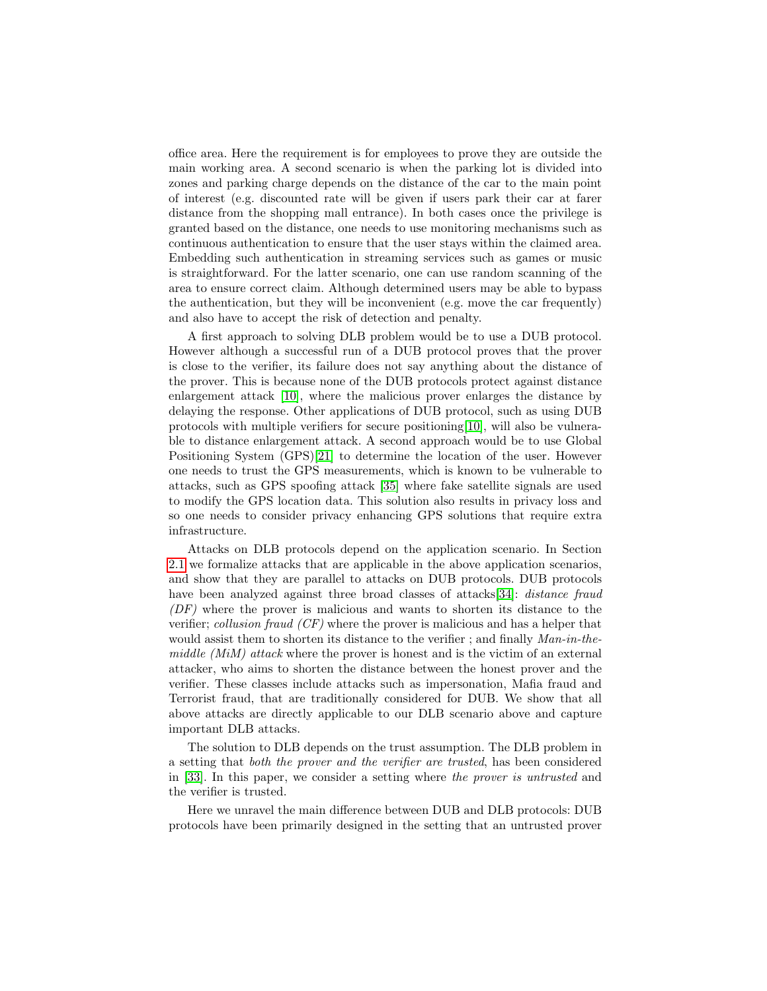office area. Here the requirement is for employees to prove they are outside the main working area. A second scenario is when the parking lot is divided into zones and parking charge depends on the distance of the car to the main point of interest (e.g. discounted rate will be given if users park their car at farer distance from the shopping mall entrance). In both cases once the privilege is granted based on the distance, one needs to use monitoring mechanisms such as continuous authentication to ensure that the user stays within the claimed area. Embedding such authentication in streaming services such as games or music is straightforward. For the latter scenario, one can use random scanning of the area to ensure correct claim. Although determined users may be able to bypass the authentication, but they will be inconvenient (e.g. move the car frequently) and also have to accept the risk of detection and penalty.

A first approach to solving DLB problem would be to use a DUB protocol. However although a successful run of a DUB protocol proves that the prover is close to the verifier, its failure does not say anything about the distance of the prover. This is because none of the DUB protocols protect against distance enlargement attack [\[10\]](#page-16-3), where the malicious prover enlarges the distance by delaying the response. Other applications of DUB protocol, such as using DUB protocols with multiple verifiers for secure positioning[\[10\]](#page-16-3), will also be vulnerable to distance enlargement attack. A second approach would be to use Global Positioning System (GPS)[\[21\]](#page-17-2) to determine the location of the user. However one needs to trust the GPS measurements, which is known to be vulnerable to attacks, such as GPS spoofing attack [\[35\]](#page-17-3) where fake satellite signals are used to modify the GPS location data. This solution also results in privacy loss and so one needs to consider privacy enhancing GPS solutions that require extra infrastructure.

Attacks on DLB protocols depend on the application scenario. In Section [2.1](#page-4-0) we formalize attacks that are applicable in the above application scenarios, and show that they are parallel to attacks on DUB protocols. DUB protocols have been analyzed against three broad classes of attacks[\[34\]](#page-17-4): *distance fraud* (DF) where the prover is malicious and wants to shorten its distance to the verifier; collusion fraud (CF) where the prover is malicious and has a helper that would assist them to shorten its distance to the verifier ; and finally  $Man-in-the$ middle (MiM) attack where the prover is honest and is the victim of an external attacker, who aims to shorten the distance between the honest prover and the verifier. These classes include attacks such as impersonation, Mafia fraud and Terrorist fraud, that are traditionally considered for DUB. We show that all above attacks are directly applicable to our DLB scenario above and capture important DLB attacks.

The solution to DLB depends on the trust assumption. The DLB problem in a setting that both the prover and the verifier are trusted, has been considered in [\[33\]](#page-17-5). In this paper, we consider a setting where the prover is untrusted and the verifier is trusted.

Here we unravel the main difference between DUB and DLB protocols: DUB protocols have been primarily designed in the setting that an untrusted prover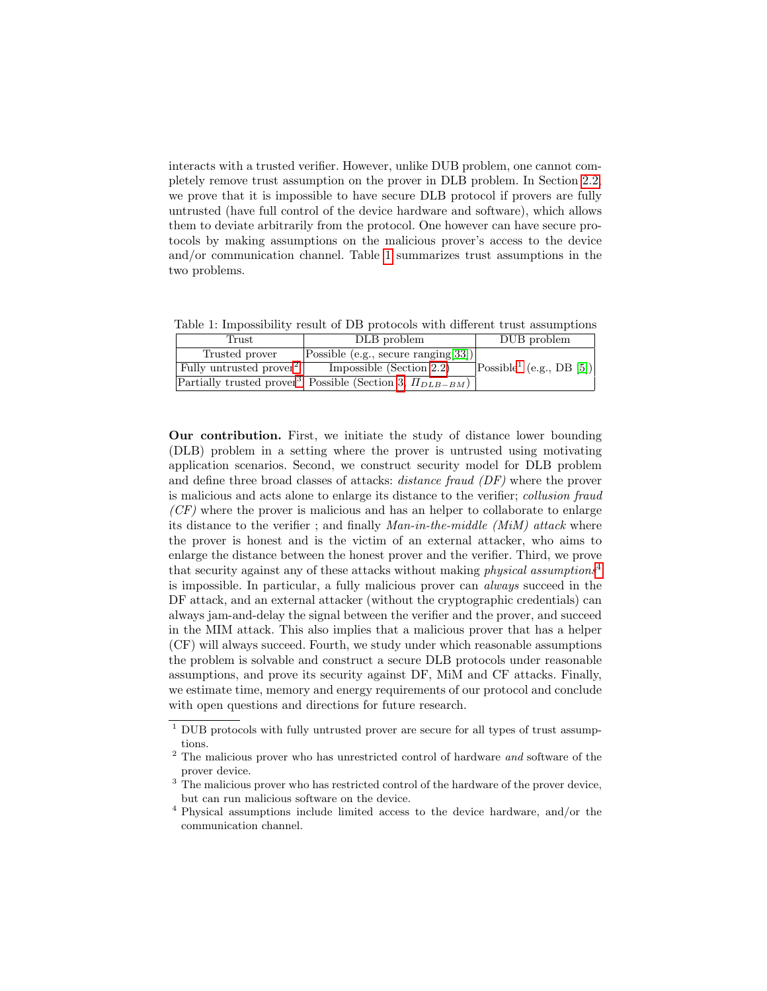interacts with a trusted verifier. However, unlike DUB problem, one cannot completely remove trust assumption on the prover in DLB problem. In Section [2.2,](#page-6-0) we prove that it is impossible to have secure DLB protocol if provers are fully untrusted (have full control of the device hardware and software), which allows them to deviate arbitrarily from the protocol. One however can have secure protocols by making assumptions on the malicious prover's access to the device and/or communication channel. Table [1](#page-2-0) summarizes trust assumptions in the two problems.

<span id="page-2-0"></span>Table 1: Impossibility result of DB protocols with different trust assumptions

| Frust                               | DLB problem                                                                 | DUB problem                                           |
|-------------------------------------|-----------------------------------------------------------------------------|-------------------------------------------------------|
| Trusted prover                      | $ Possible$ (e.g., secure ranging [33])                                     |                                                       |
| Fully untrusted prover <sup>2</sup> | Impossible (Section $2.2$ )                                                 | $\left \text{Possible}^1\right\rangle$ (e.g., DB [5]) |
|                                     | Partially trusted prover <sup>3</sup> Possible (Section 3, $\Pi_{DLB-BM}$ ) |                                                       |

Our contribution. First, we initiate the study of distance lower bounding (DLB) problem in a setting where the prover is untrusted using motivating application scenarios. Second, we construct security model for DLB problem and define three broad classes of attacks: distance fraud (DF) where the prover is malicious and acts alone to enlarge its distance to the verifier; collusion fraud  $(CF)$  where the prover is malicious and has an helper to collaborate to enlarge its distance to the verifier ; and finally  $Man-in-the-middle$  ( $MiM$ ) attack where the prover is honest and is the victim of an external attacker, who aims to enlarge the distance between the honest prover and the verifier. Third, we prove that security against any of these attacks without making *physical assumptions*<sup>[4](#page-2-4)</sup> is impossible. In particular, a fully malicious prover can always succeed in the DF attack, and an external attacker (without the cryptographic credentials) can always jam-and-delay the signal between the verifier and the prover, and succeed in the MIM attack. This also implies that a malicious prover that has a helper (CF) will always succeed. Fourth, we study under which reasonable assumptions the problem is solvable and construct a secure DLB protocols under reasonable assumptions, and prove its security against DF, MiM and CF attacks. Finally, we estimate time, memory and energy requirements of our protocol and conclude with open questions and directions for future research.

<span id="page-2-1"></span> $1$  DUB protocols with fully untrusted prover are secure for all types of trust assumptions.

<span id="page-2-2"></span> $2$  The malicious prover who has unrestricted control of hardware and software of the prover device.

<span id="page-2-3"></span><sup>&</sup>lt;sup>3</sup> The malicious prover who has restricted control of the hardware of the prover device, but can run malicious software on the device.

<span id="page-2-4"></span><sup>4</sup> Physical assumptions include limited access to the device hardware, and/or the communication channel.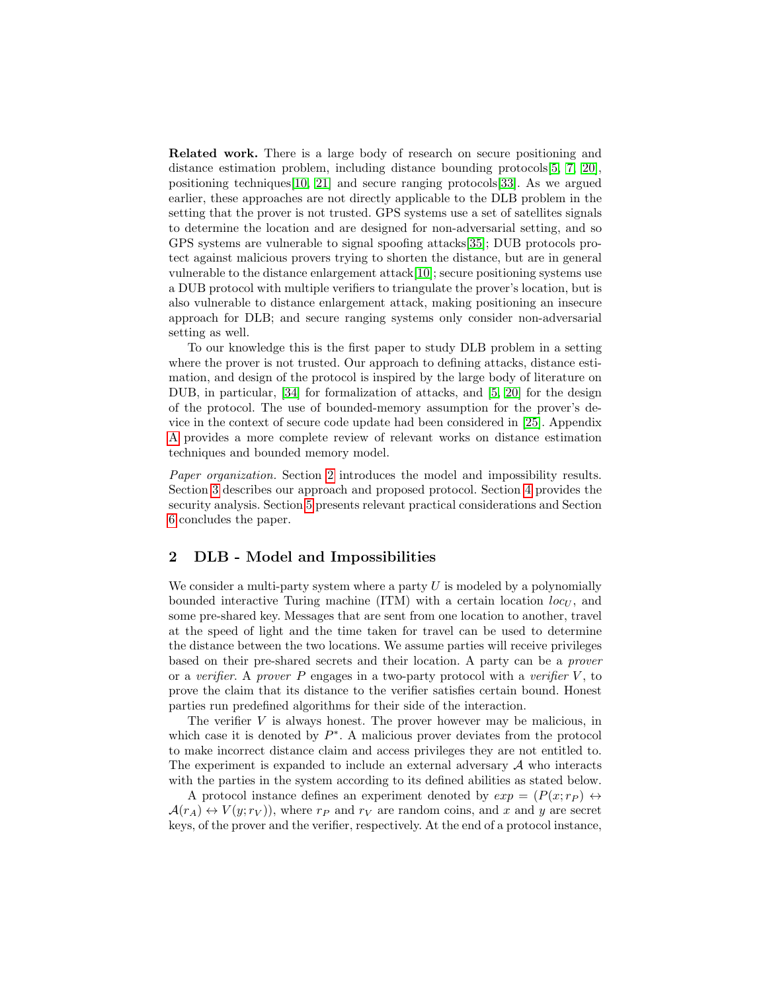Related work. There is a large body of research on secure positioning and distance estimation problem, including distance bounding protocols[\[5,](#page-16-4) [7,](#page-16-0) [20\]](#page-16-5), positioning techniques[\[10,](#page-16-3) [21\]](#page-17-2) and secure ranging protocols[\[33\]](#page-17-5). As we argued earlier, these approaches are not directly applicable to the DLB problem in the setting that the prover is not trusted. GPS systems use a set of satellites signals to determine the location and are designed for non-adversarial setting, and so GPS systems are vulnerable to signal spoofing attacks[\[35\]](#page-17-3); DUB protocols protect against malicious provers trying to shorten the distance, but are in general vulnerable to the distance enlargement attack[\[10\]](#page-16-3); secure positioning systems use a DUB protocol with multiple verifiers to triangulate the prover's location, but is also vulnerable to distance enlargement attack, making positioning an insecure approach for DLB; and secure ranging systems only consider non-adversarial setting as well.

To our knowledge this is the first paper to study DLB problem in a setting where the prover is not trusted. Our approach to defining attacks, distance estimation, and design of the protocol is inspired by the large body of literature on DUB, in particular, [\[34\]](#page-17-4) for formalization of attacks, and [\[5,](#page-16-4) [20\]](#page-16-5) for the design of the protocol. The use of bounded-memory assumption for the prover's device in the context of secure code update had been considered in [\[25\]](#page-17-6). Appendix [A](#page-17-7) provides a more complete review of relevant works on distance estimation techniques and bounded memory model.

Paper organization. Section [2](#page-3-0) introduces the model and impossibility results. Section [3](#page-8-0) describes our approach and proposed protocol. Section [4](#page-12-0) provides the security analysis. Section [5](#page-13-0) presents relevant practical considerations and Section [6](#page-15-0) concludes the paper.

## <span id="page-3-0"></span>2 DLB - Model and Impossibilities

We consider a multi-party system where a party  $U$  is modeled by a polynomially bounded interactive Turing machine (ITM) with a certain location  $loc_{U}$ , and some pre-shared key. Messages that are sent from one location to another, travel at the speed of light and the time taken for travel can be used to determine the distance between the two locations. We assume parties will receive privileges based on their pre-shared secrets and their location. A party can be a prover or a verifier. A prover P engages in a two-party protocol with a verifier  $V$ , to prove the claim that its distance to the verifier satisfies certain bound. Honest parties run predefined algorithms for their side of the interaction.

The verifier  $V$  is always honest. The prover however may be malicious, in which case it is denoted by  $P^*$ . A malicious prover deviates from the protocol to make incorrect distance claim and access privileges they are not entitled to. The experiment is expanded to include an external adversary  $A$  who interacts with the parties in the system according to its defined abilities as stated below.

A protocol instance defines an experiment denoted by  $exp = (P(x; r_P) \leftrightarrow$  $\mathcal{A}(r_A) \leftrightarrow V(y; r_V)$ , where  $r_P$  and  $r_V$  are random coins, and x and y are secret keys, of the prover and the verifier, respectively. At the end of a protocol instance,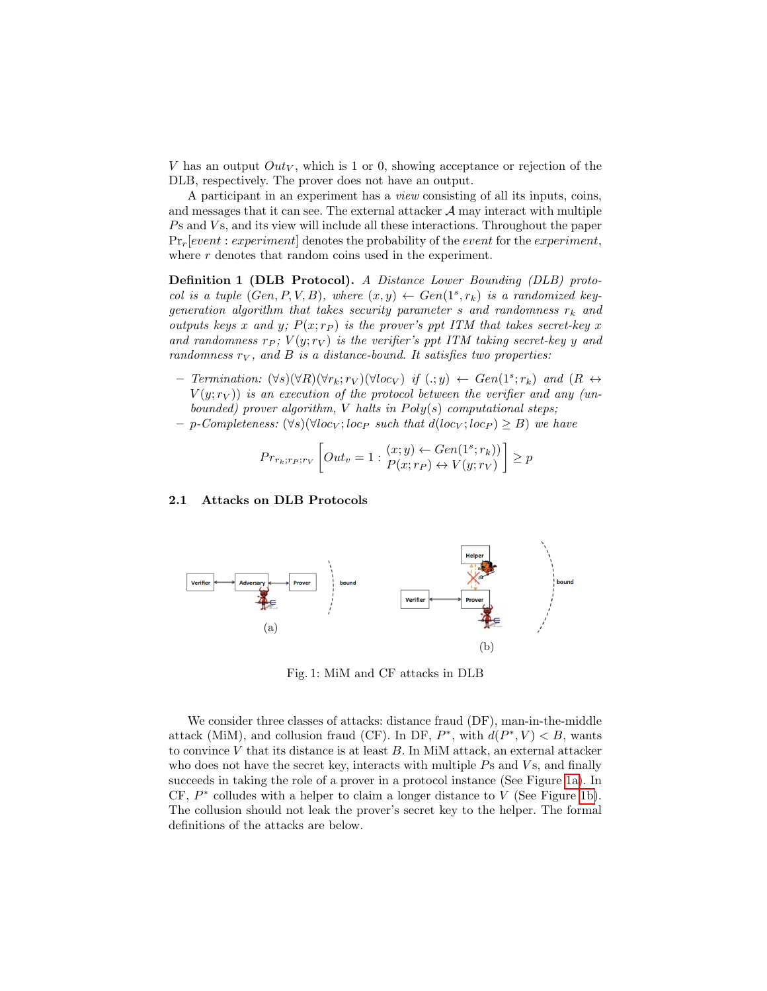V has an output  $Out_V$ , which is 1 or 0, showing acceptance or rejection of the DLB, respectively. The prover does not have an output.

A participant in an experiment has a view consisting of all its inputs, coins, and messages that it can see. The external attacker  $A$  may interact with multiple  $P<sub>S</sub>$  and  $V<sub>S</sub>$ , and its view will include all these interactions. Throughout the paper  $Pr_r[event: experiment]$  denotes the probability of the *event* for the *experiment*, where r denotes that random coins used in the experiment.

Definition 1 (DLB Protocol). A Distance Lower Bounding (DLB) protocol is a tuple  $(Gen, P, V, B)$ , where  $(x, y) \leftarrow Gen(1<sup>s</sup>, r<sub>k</sub>)$  is a randomized keygeneration algorithm that takes security parameter s and randomness  $r_k$  and outputs keys x and y;  $P(x; r_P)$  is the prover's ppt ITM that takes secret-key x and randomness  $r_P$ ;  $V(y; r_V)$  is the verifier's ppt ITM taking secret-key y and randomness  $r_V$ , and  $B$  is a distance-bound. It satisfies two properties:

- $-$  Termination:  $(\forall s)(\forall R)(\forall r_k; r_V)(\forall loc_V)$  if  $(.; y) \leftarrow Gen(1^s; r_k)$  and  $(R \leftrightarrow$  $V(y; r_V)$ ) is an execution of the protocol between the verifier and any (unbounded) prover algorithm, V halts in  $Poly(s)$  computational steps;
- $p$ -Completeness:  $(\forall s)(\forall loc_V; loc_P \text{ such that } d(loc_V; loc_P) ≥ B)$  we have

$$
Pr_{r_k;rp;rv} \left[ Out_v = 1 : \begin{matrix} (x;y) \leftarrow Gen(1^s; r_k) \\ P(x;rp) \leftrightarrow V(y;rv) \end{matrix} \right] \ge p
$$

#### <span id="page-4-0"></span>2.1 Attacks on DLB Protocols

<span id="page-4-1"></span>

Fig. 1: MiM and CF attacks in DLB

We consider three classes of attacks: distance fraud (DF), man-in-the-middle attack (MiM), and collusion fraud (CF). In DF,  $P^*$ , with  $d(P^*, V) < B$ , wants to convince  $V$  that its distance is at least  $B$ . In MiM attack, an external attacker who does not have the secret key, interacts with multiple  $Ps$  and  $Vs$ , and finally succeeds in taking the role of a prover in a protocol instance (See Figure [1a\)](#page-4-1). In  $CF, P^*$  colludes with a helper to claim a longer distance to V (See Figure [1b\)](#page-4-1). The collusion should not leak the prover's secret key to the helper. The formal definitions of the attacks are below.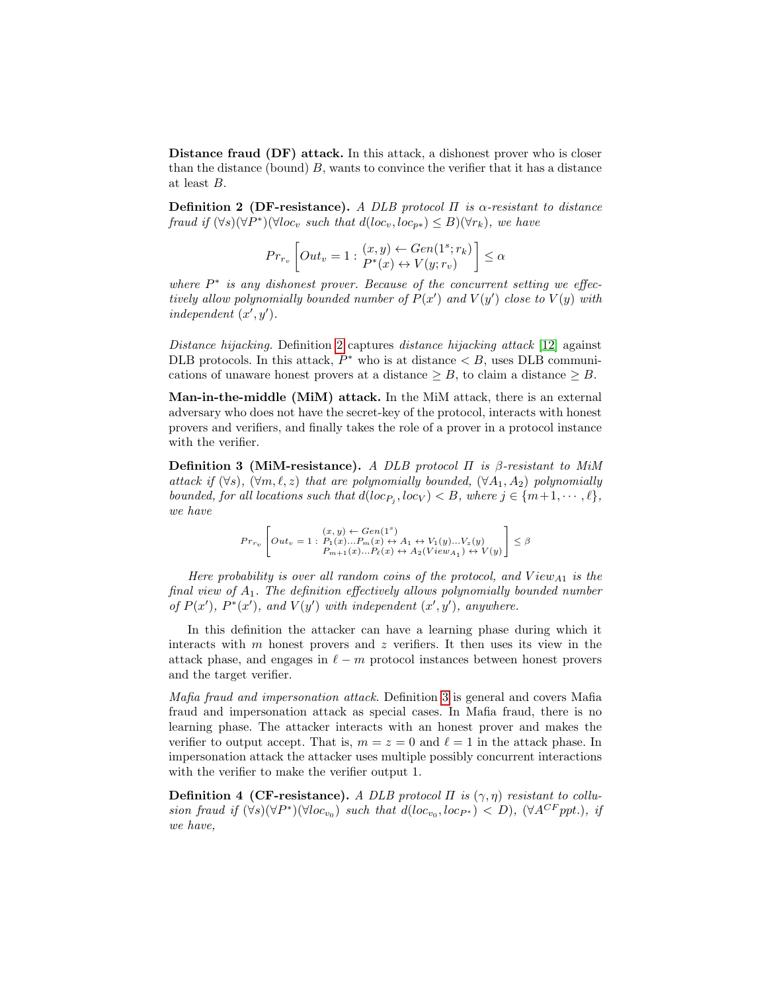Distance fraud (DF) attack. In this attack, a dishonest prover who is closer than the distance (bound)  $B$ , wants to convince the verifier that it has a distance at least B.

<span id="page-5-0"></span>Definition 2 (DF-resistance). A DLB protocol  $\Pi$  is  $\alpha$ -resistant to distance fraud if  $(\forall s)(\forall P^*)(\forall loc_v \text{ such that } d(loc_v, loc_{p*}) \leq B)(\forall r_k), we have$ 

$$
Pr_{r_v}\left[Out_v = 1 : \begin{cases} (x, y) \leftarrow Gen(1^s; r_k) \\ P^*(x) \leftrightarrow V(y; r_v) \end{cases} \right] \le \alpha
$$

where  $P^*$  is any dishonest prover. Because of the concurrent setting we effectively allow polynomially bounded number of  $P(x')$  and  $V(y')$  close to  $V(y)$  with independent  $(x', y')$ .

Distance hijacking. Definition [2](#page-5-0) captures distance hijacking attack [\[12\]](#page-16-6) against DLB protocols. In this attack,  $P^*$  who is at distance  $\langle B, \text{uses DLB communi-} \rangle$ cations of unaware honest provers at a distance  $\geq B$ , to claim a distance  $\geq B$ .

Man-in-the-middle (MiM) attack. In the MiM attack, there is an external adversary who does not have the secret-key of the protocol, interacts with honest provers and verifiers, and finally takes the role of a prover in a protocol instance with the verifier.

<span id="page-5-1"></span>Definition 3 (MiM-resistance). A DLB protocol  $\Pi$  is  $\beta$ -resistant to MiM attack if  $(\forall s)$ ,  $(\forall m, \ell, z)$  that are polynomially bounded,  $(\forall A_1, A_2)$  polynomially bounded, for all locations such that  $d(loc_{P_j}, loc_V) < B$ , where  $j \in \{m+1, \cdots, \ell\}$ , we have

$$
Pr_{r_v}\left[Out_v=1: \begin{matrix} (x,y) \leftarrow Gen(1^s) \\ Pit_v=1: P_1(x)...P_m(x) \leftrightarrow A_1 \leftrightarrow V_1(y)...V_z(y) \\ P_{m+1}(x)...P_\ell(x) \leftrightarrow A_2(View_{A_1}) \leftrightarrow V(y) \end{matrix}\right] \leq \beta
$$

Here probability is over all random coins of the protocol, and  $View_{A1}$  is the final view of  $A_1$ . The definition effectively allows polynomially bounded number of  $P(x')$ ,  $P^*(x')$ , and  $V(y')$  with independent  $(x', y')$ , anywhere.

In this definition the attacker can have a learning phase during which it interacts with  $m$  honest provers and  $z$  verifiers. It then uses its view in the attack phase, and engages in  $\ell - m$  protocol instances between honest provers and the target verifier.

Mafia fraud and impersonation attack. Definition [3](#page-5-1) is general and covers Mafia fraud and impersonation attack as special cases. In Mafia fraud, there is no learning phase. The attacker interacts with an honest prover and makes the verifier to output accept. That is,  $m = z = 0$  and  $\ell = 1$  in the attack phase. In impersonation attack the attacker uses multiple possibly concurrent interactions with the verifier to make the verifier output 1.

<span id="page-5-2"></span>Definition 4 (CF-resistance). A DLB protocol  $\Pi$  is  $(\gamma, \eta)$  resistant to collusion fraud if  $(\forall s)(\forall P^*)(\forall loc_{v_0})$  such that  $d(loc_{v_0},loc_{P^*}) < D$ ,  $(\forall A^{CF}$ ppt.), if we have,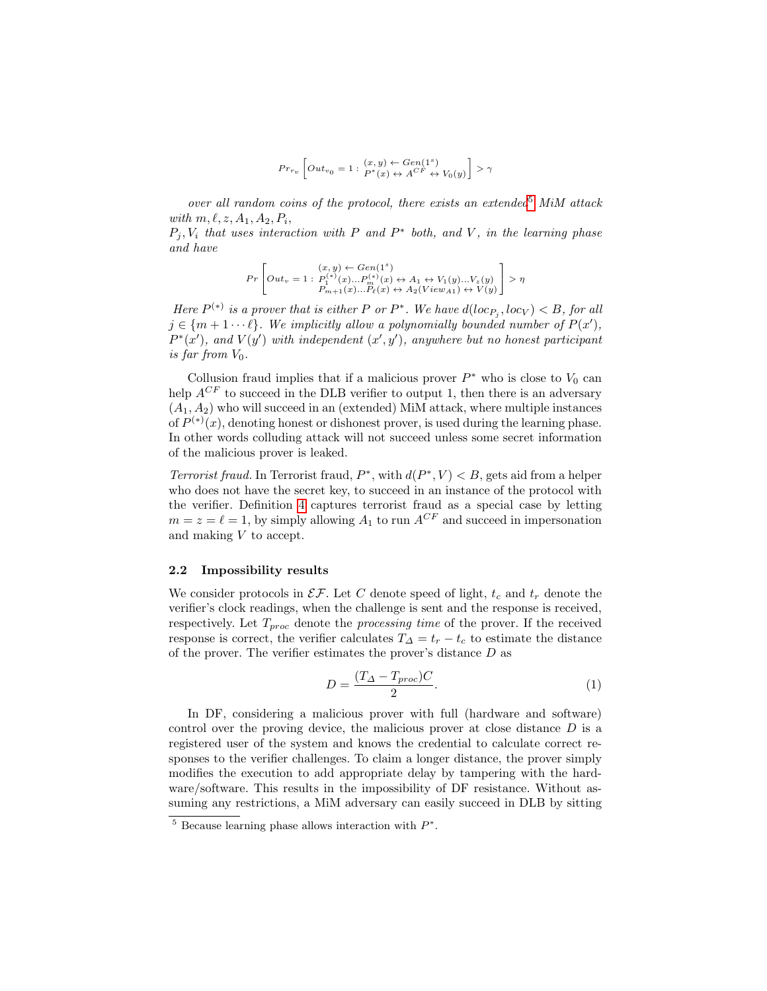$$
Pr_{r_v} \left[ Out_{v_0} = 1 : \begin{matrix} (x, y) \leftarrow Gen(1^s) \\ P^*(x) \leftrightarrow A^{CF} \leftrightarrow V_0(y) \end{matrix} \right] > \gamma
$$

over all random coins of the protocol, there exists an extended<sup>[5](#page-6-1)</sup> MiM attack with  $m, \ell, z, A_1, A_2, P_i$ ,

 $P_j, V_i$  that uses interaction with P and P<sup>\*</sup> both, and V, in the learning phase and have

$$
Pr\left[Out_v=1: \begin{matrix} (x,y) \leftarrow Gen(1^s) \\ Out_v=1: P_1^{(*)}(x)...P_m^{(*)}(x) \leftrightarrow A_1 \leftrightarrow V_1(y)...V_z(y) \\ P_{m+1}(x)...P_k(x) \leftrightarrow A_2(View_{A1}) \leftrightarrow V(y) \end{matrix} \right] > \eta
$$

Here  $P^{(*)}$  is a prover that is either P or  $P^*$ . We have  $d(loc_{P_j},loc_V) < B$ , for all  $j \in \{m+1 \cdots \ell\}$ . We implicitly allow a polynomially bounded number of  $P(x')$ ,  $P^*(x')$ , and  $V(y')$  with independent  $(x', y')$ , anywhere but no honest participant is far from  $V_0$ .

Collusion fraud implies that if a malicious prover  $P^*$  who is close to  $V_0$  can help  $A^{CF}$  to succeed in the DLB verifier to output 1, then there is an adversary  $(A_1, A_2)$  who will succeed in an (extended) MiM attack, where multiple instances of  $P^{(*)}(x)$ , denoting honest or dishonest prover, is used during the learning phase. In other words colluding attack will not succeed unless some secret information of the malicious prover is leaked.

*Terrorist fraud.* In Terrorist fraud,  $P^*$ , with  $d(P^*, V) < B$ , gets aid from a helper who does not have the secret key, to succeed in an instance of the protocol with the verifier. Definition [4](#page-5-2) captures terrorist fraud as a special case by letting  $m = z = \ell = 1$ , by simply allowing  $A_1$  to run  $A^{CF}$  and succeed in impersonation and making V to accept.

#### <span id="page-6-0"></span>2.2 Impossibility results

We consider protocols in  $\mathcal{EF}$ . Let C denote speed of light,  $t_c$  and  $t_r$  denote the verifier's clock readings, when the challenge is sent and the response is received, respectively. Let  $T_{proc}$  denote the *processing time* of the prover. If the received response is correct, the verifier calculates  $T_{\Delta} = t_r - t_c$  to estimate the distance of the prover. The verifier estimates the prover's distance D as

<span id="page-6-2"></span>
$$
D = \frac{(T_{\Delta} - T_{proc})C}{2}.
$$
\n(1)

In DF, considering a malicious prover with full (hardware and software) control over the proving device, the malicious prover at close distance D is a registered user of the system and knows the credential to calculate correct responses to the verifier challenges. To claim a longer distance, the prover simply modifies the execution to add appropriate delay by tampering with the hardware/software. This results in the impossibility of DF resistance. Without assuming any restrictions, a MiM adversary can easily succeed in DLB by sitting

<span id="page-6-1"></span> $5$  Because learning phase allows interaction with  $P^*$ .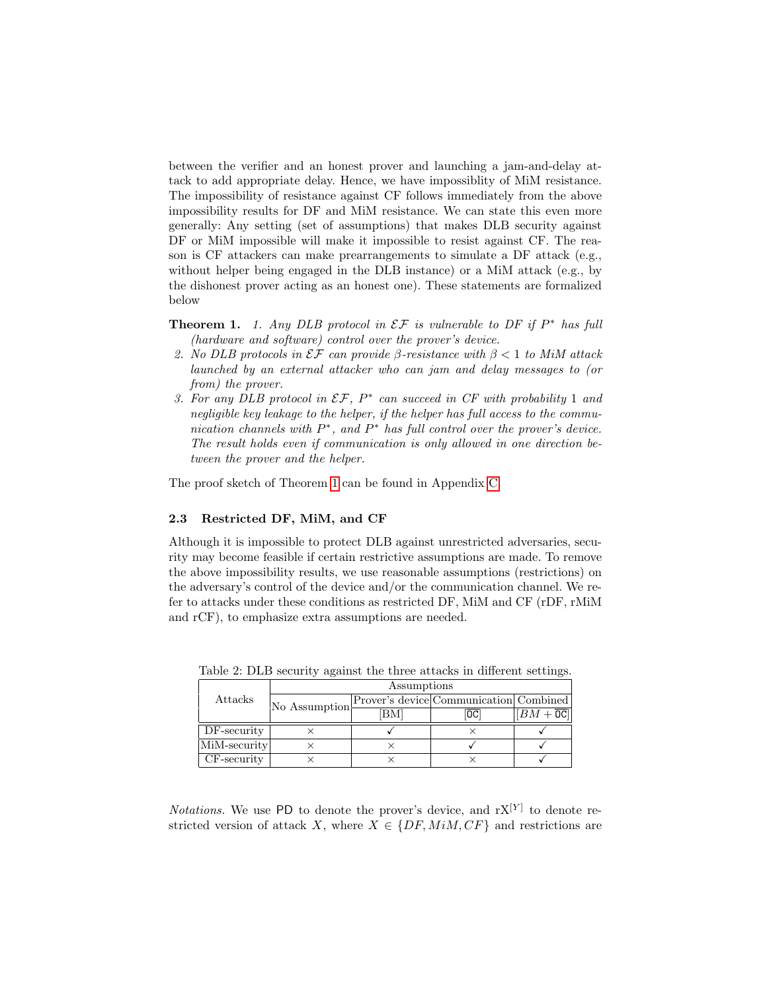between the verifier and an honest prover and launching a jam-and-delay attack to add appropriate delay. Hence, we have impossiblity of MiM resistance. The impossibility of resistance against CF follows immediately from the above impossibility results for DF and MiM resistance. We can state this even more generally: Any setting (set of assumptions) that makes DLB security against DF or MiM impossible will make it impossible to resist against CF. The reason is CF attackers can make prearrangements to simulate a DF attack (e.g., without helper being engaged in the DLB instance) or a MiM attack (e.g., by the dishonest prover acting as an honest one). These statements are formalized below

<span id="page-7-0"></span>**Theorem 1.** 1. Any DLB protocol in  $\mathcal{EF}$  is vulnerable to DF if  $P^*$  has full (hardware and software) control over the prover's device.

- 2. No DLB protocols in  $\mathcal{EF}$  can provide β-resistance with  $\beta < 1$  to MiM attack launched by an external attacker who can jam and delay messages to (or from) the prover.
- 3. For any DLB protocol in  $\mathcal{EF}, P^*$  can succeed in CF with probability 1 and negligible key leakage to the helper, if the helper has full access to the communication channels with  $P^*$ , and  $P^*$  has full control over the prover's device. The result holds even if communication is only allowed in one direction between the prover and the helper.

The proof sketch of Theorem [1](#page-7-0) can be found in Appendix [C.](#page-20-0)

#### 2.3 Restricted DF, MiM, and CF

Although it is impossible to protect DLB against unrestricted adversaries, security may become feasible if certain restrictive assumptions are made. To remove the above impossibility results, we use reasonable assumptions (restrictions) on the adversary's control of the device and/or the communication channel. We refer to attacks under these conditions as restricted DF, MiM and CF (rDF, rMiM and rCF), to emphasize extra assumptions are needed.

|                | Assumptions   |    |                                        |                               |
|----------------|---------------|----|----------------------------------------|-------------------------------|
| Attacks        | No Assumption |    | Prover's device Communication Combined |                               |
|                |               | ВM | ОC                                     | $ BM+\overline{\texttt{OC}} $ |
| $DF$ -security |               |    |                                        |                               |
| MiM-security   |               |    |                                        |                               |
| CF-security    |               |    |                                        |                               |

<span id="page-7-1"></span>Table 2: DLB security against the three attacks in different settings.

*Notations*. We use PD to denote the prover's device, and  $rX^{[Y]}$  to denote restricted version of attack X, where  $X \in \{DF, MiM, CF\}$  and restrictions are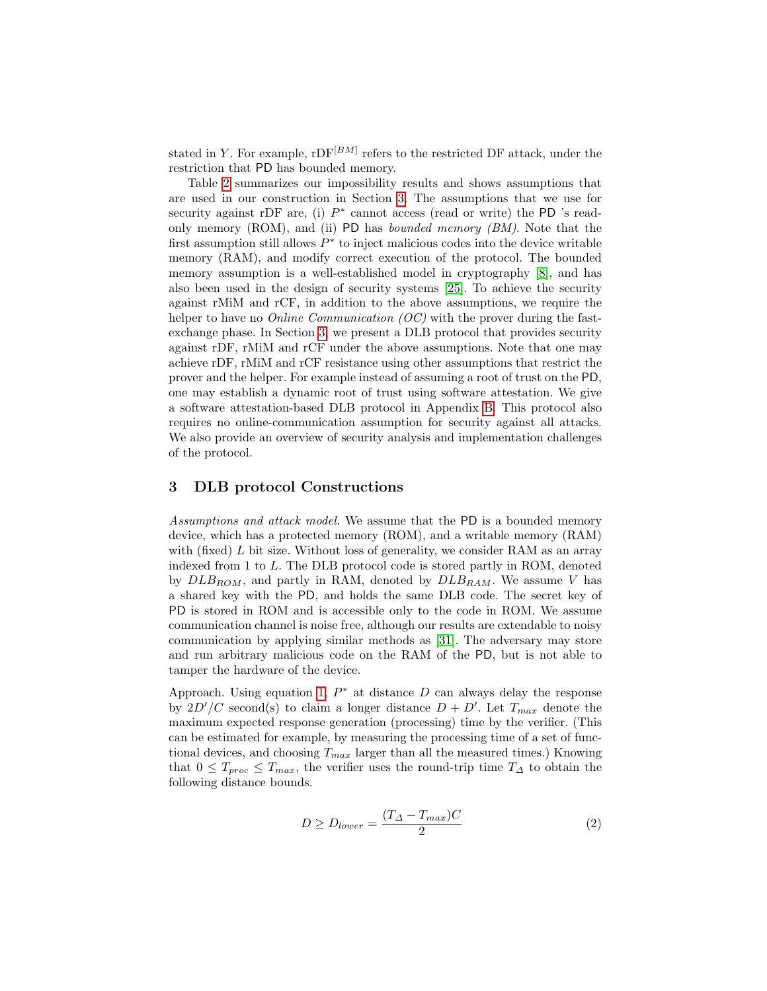stated in Y. For example,  $\text{rDF}^{[BM]}$  refers to the restricted DF attack, under the restriction that PD has bounded memory.

Table [2](#page-7-1) summarizes our impossibility results and shows assumptions that are used in our construction in Section [3.](#page-8-0) The assumptions that we use for security against rDF are, (i)  $P^*$  cannot access (read or write) the PD 's readonly memory (ROM), and (ii) PD has *bounded memory (BM)*. Note that the first assumption still allows  $P^*$  to inject malicious codes into the device writable memory (RAM), and modify correct execution of the protocol. The bounded memory assumption is a well-established model in cryptography [\[8\]](#page-16-7), and has also been used in the design of security systems [\[25\]](#page-17-6). To achieve the security against rMiM and rCF, in addition to the above assumptions, we require the helper to have no *Online Communication (OC)* with the prover during the fastexchange phase. In Section [3,](#page-8-0) we present a DLB protocol that provides security against rDF, rMiM and rCF under the above assumptions. Note that one may achieve rDF, rMiM and rCF resistance using other assumptions that restrict the prover and the helper. For example instead of assuming a root of trust on the PD, one may establish a dynamic root of trust using software attestation. We give a software attestation-based DLB protocol in Appendix [B.](#page-18-0) This protocol also requires no online-communication assumption for security against all attacks. We also provide an overview of security analysis and implementation challenges of the protocol.

## <span id="page-8-0"></span>3 DLB protocol Constructions

Assumptions and attack model. We assume that the PD is a bounded memory device, which has a protected memory (ROM), and a writable memory (RAM) with (fixed)  $L$  bit size. Without loss of generality, we consider RAM as an array indexed from 1 to L. The DLB protocol code is stored partly in ROM, denoted by  $DLB_{ROM}$ , and partly in RAM, denoted by  $DLB_{RAM}$ . We assume V has a shared key with the PD, and holds the same DLB code. The secret key of PD is stored in ROM and is accessible only to the code in ROM. We assume communication channel is noise free, although our results are extendable to noisy communication by applying similar methods as [\[31\]](#page-17-8). The adversary may store and run arbitrary malicious code on the RAM of the PD, but is not able to tamper the hardware of the device.

Approach. Using equation [1,](#page-6-2)  $P^*$  at distance D can always delay the response by  $2D'/C$  second(s) to claim a longer distance  $D + D'$ . Let  $T_{max}$  denote the maximum expected response generation (processing) time by the verifier. (This can be estimated for example, by measuring the processing time of a set of functional devices, and choosing  $T_{max}$  larger than all the measured times.) Knowing that  $0 \leq T_{proc} \leq T_{max}$ , the verifier uses the round-trip time  $T_{\Delta}$  to obtain the following distance bounds.

<span id="page-8-1"></span>
$$
D \ge D_{lower} = \frac{(T_{\Delta} - T_{max})C}{2} \tag{2}
$$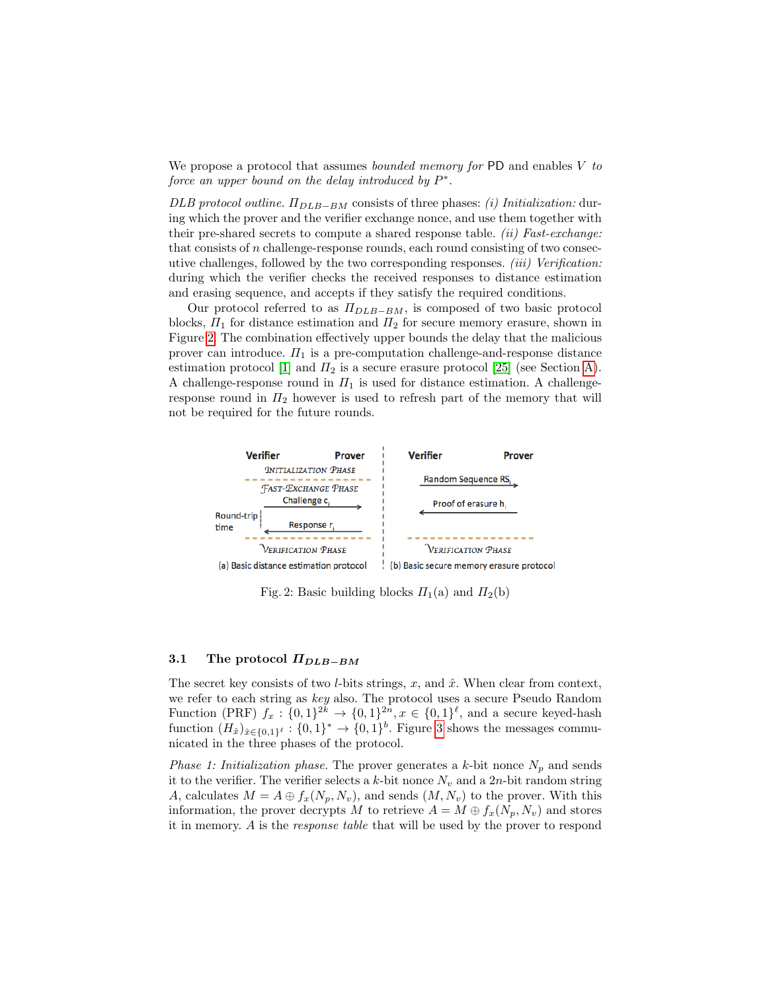We propose a protocol that assumes *bounded memory for* PD and enables  $V$  to force an upper bound on the delay introduced by  $P^*$ .

DLB protocol outline.  $\Pi_{DLB-BM}$  consists of three phases: (i) Initialization: during which the prover and the verifier exchange nonce, and use them together with their pre-shared secrets to compute a shared response table. *(ii) Fast-exchange*: that consists of  $n$  challenge-response rounds, each round consisting of two consecutive challenges, followed by the two corresponding responses. (iii) Verification: during which the verifier checks the received responses to distance estimation and erasing sequence, and accepts if they satisfy the required conditions.

Our protocol referred to as  $\Pi_{DLB-BM}$ , is composed of two basic protocol blocks,  $\Pi_1$  for distance estimation and  $\Pi_2$  for secure memory erasure, shown in Figure [2.](#page-9-0) The combination effectively upper bounds the delay that the malicious prover can introduce.  $\Pi_1$  is a pre-computation challenge-and-response distance estimation protocol [\[1\]](#page-16-8) and  $\Pi_2$  is a secure erasure protocol [\[25\]](#page-17-6) (see Section [A\)](#page-17-7). A challenge-response round in  $\Pi_1$  is used for distance estimation. A challengeresponse round in  $\Pi_2$  however is used to refresh part of the memory that will not be required for the future rounds.

<span id="page-9-0"></span>

Fig. 2: Basic building blocks  $\Pi_1(a)$  and  $\Pi_2(b)$ 

#### <span id="page-9-1"></span>3.1 The protocol  $\Pi_{DLB-BM}$

The secret key consists of two *l*-bits strings, x, and  $\hat{x}$ . When clear from context, we refer to each string as key also. The protocol uses a secure Pseudo Random Function (PRF)  $f_x: \{0,1\}^{2k} \to \{0,1\}^{2n}, x \in \{0,1\}^{\ell}$ , and a secure keyed-hash function  $(H_{\hat{x}})_{\hat{x}\in\{0,1\}^{\ell}} : \{0,1\}^* \to \{0,1\}^b$ . Figure [3](#page-10-0) shows the messages communicated in the three phases of the protocol.

*Phase 1: Initialization phase.* The prover generates a k-bit nonce  $N_p$  and sends it to the verifier. The verifier selects a k-bit nonce  $N_v$  and a 2n-bit random string A, calculates  $M = A \oplus f_x(N_p, N_v)$ , and sends  $(M, N_v)$  to the prover. With this information, the prover decrypts M to retrieve  $A = M \oplus f_x(N_p, N_v)$  and stores it in memory. A is the response table that will be used by the prover to respond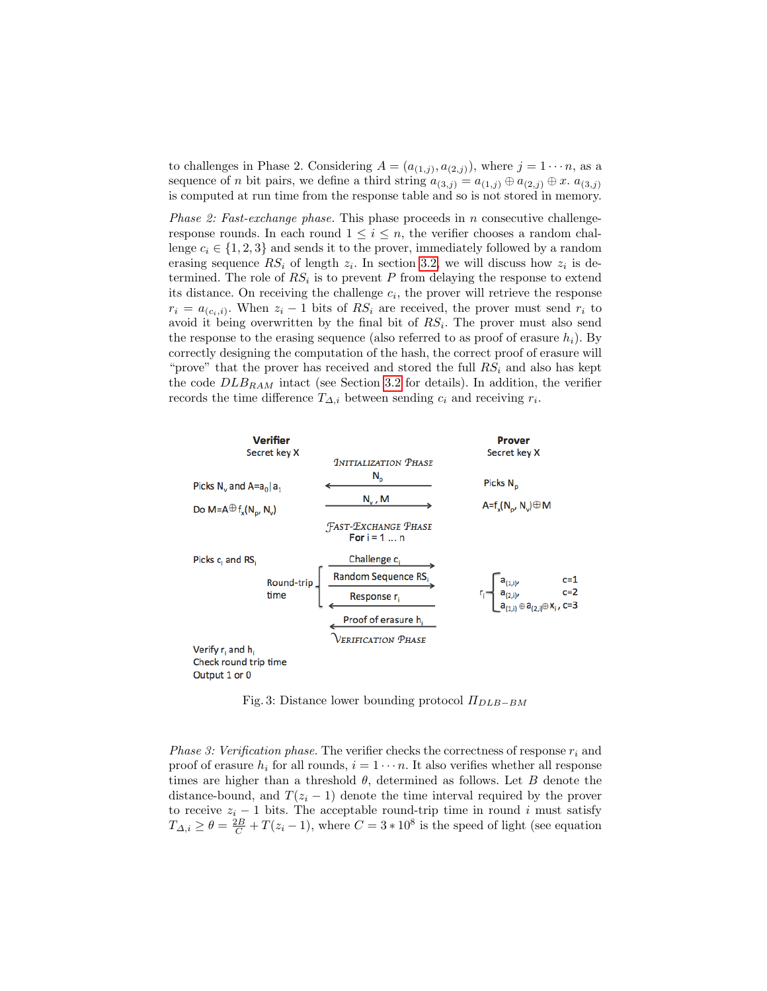to challenges in Phase 2. Considering  $A = (a_{(1,j)}, a_{(2,j)})$ , where  $j = 1 \cdots n$ , as a sequence of *n* bit pairs, we define a third string  $a_{(3,j)} = a_{(1,j)} \oplus a_{(2,j)} \oplus x$ .  $a_{(3,j)}$ is computed at run time from the response table and so is not stored in memory.

*Phase 2: Fast-exchange phase.* This phase proceeds in  $n$  consecutive challengeresponse rounds. In each round  $1 \leq i \leq n$ , the verifier chooses a random challenge  $c_i \in \{1, 2, 3\}$  and sends it to the prover, immediately followed by a random erasing sequence  $RS_i$  of length  $z_i$ . In section [3.2,](#page-11-0) we will discuss how  $z_i$  is determined. The role of  $RS_i$  is to prevent P from delaying the response to extend its distance. On receiving the challenge  $c_i$ , the prover will retrieve the response  $r_i = a_{(c_i,i)}$ . When  $z_i - 1$  bits of  $RS_i$  are received, the prover must send  $r_i$  to avoid it being overwritten by the final bit of  $RS_i$ . The prover must also send the response to the erasing sequence (also referred to as proof of erasure  $h_i$ ). By correctly designing the computation of the hash, the correct proof of erasure will "prove" that the prover has received and stored the full  $RS_i$  and also has kept the code  $DLB_{RAM}$  intact (see Section [3.2](#page-11-0) for details). In addition, the verifier records the time difference  $T_{\Delta,i}$  between sending  $c_i$  and receiving  $r_i$ .

<span id="page-10-0"></span>

Fig. 3: Distance lower bounding protocol  $\Pi_{DLB-BM}$ 

*Phase 3: Verification phase.* The verifier checks the correctness of response  $r_i$  and proof of erasure  $h_i$  for all rounds,  $i = 1 \cdots n$ . It also verifies whether all response times are higher than a threshold  $\theta$ , determined as follows. Let B denote the distance-bound, and  $T(z_i - 1)$  denote the time interval required by the prover to receive  $z_i - 1$  bits. The acceptable round-trip time in round i must satisfy  $T_{\Delta,i} \ge \theta = \frac{2B}{C} + T(z_i - 1)$ , where  $C = 3 * 10^8$  is the speed of light (see equation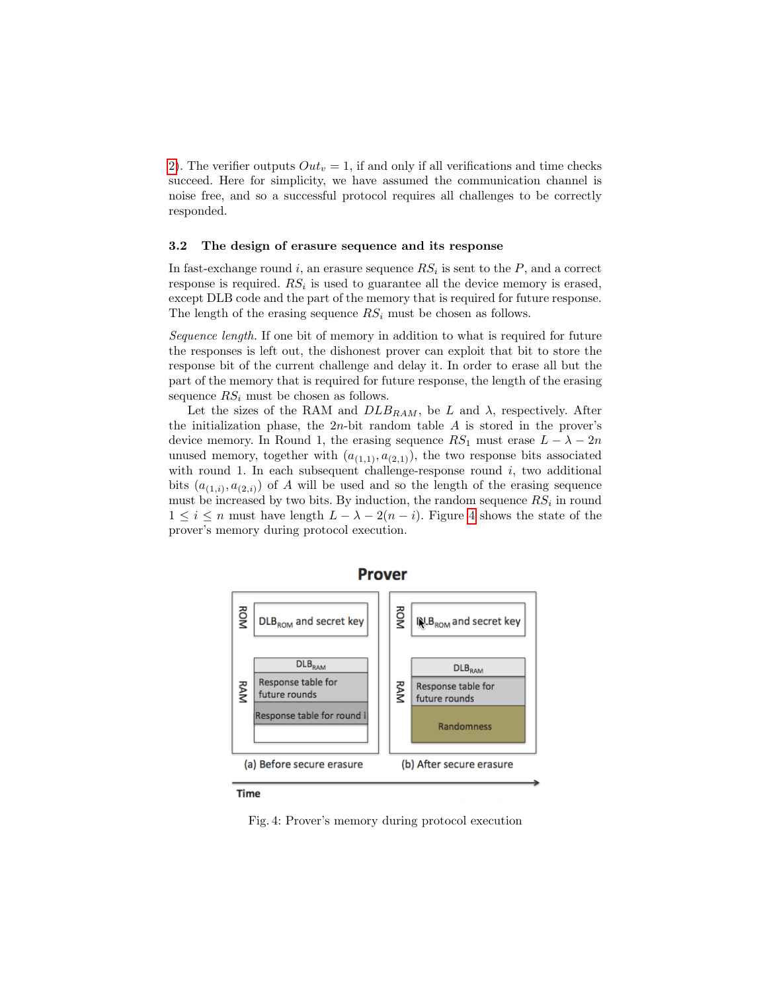[2\)](#page-8-1). The verifier outputs  $Out_v = 1$ , if and only if all verifications and time checks succeed. Here for simplicity, we have assumed the communication channel is noise free, and so a successful protocol requires all challenges to be correctly responded.

#### <span id="page-11-0"></span>3.2 The design of erasure sequence and its response

In fast-exchange round i, an erasure sequence  $RS_i$  is sent to the  $P$ , and a correct response is required.  $RS_i$  is used to guarantee all the device memory is erased, except DLB code and the part of the memory that is required for future response. The length of the erasing sequence  $RS_i$  must be chosen as follows.

Sequence length. If one bit of memory in addition to what is required for future the responses is left out, the dishonest prover can exploit that bit to store the response bit of the current challenge and delay it. In order to erase all but the part of the memory that is required for future response, the length of the erasing sequence  $RS_i$  must be chosen as follows.

Let the sizes of the RAM and  $DLB_{RAM}$ , be L and  $\lambda$ , respectively. After the initialization phase, the  $2n$ -bit random table  $A$  is stored in the prover's device memory. In Round 1, the erasing sequence  $RS_1$  must erase  $L - \lambda - 2n$ unused memory, together with  $(a_{(1,1)}, a_{(2,1)})$ , the two response bits associated with round 1. In each subsequent challenge-response round  $i$ , two additional bits  $(a_{(1,i)}, a_{(2,i)})$  of A will be used and so the length of the erasing sequence must be increased by two bits. By induction, the random sequence  $RS_i$  in round  $1 \leq i \leq n$  must have length  $L - \lambda - 2(n - i)$ . Figure [4](#page-11-1) shows the state of the prover's memory during protocol execution.

<span id="page-11-1"></span>

**Prover** 

**Time** 

Fig. 4: Prover's memory during protocol execution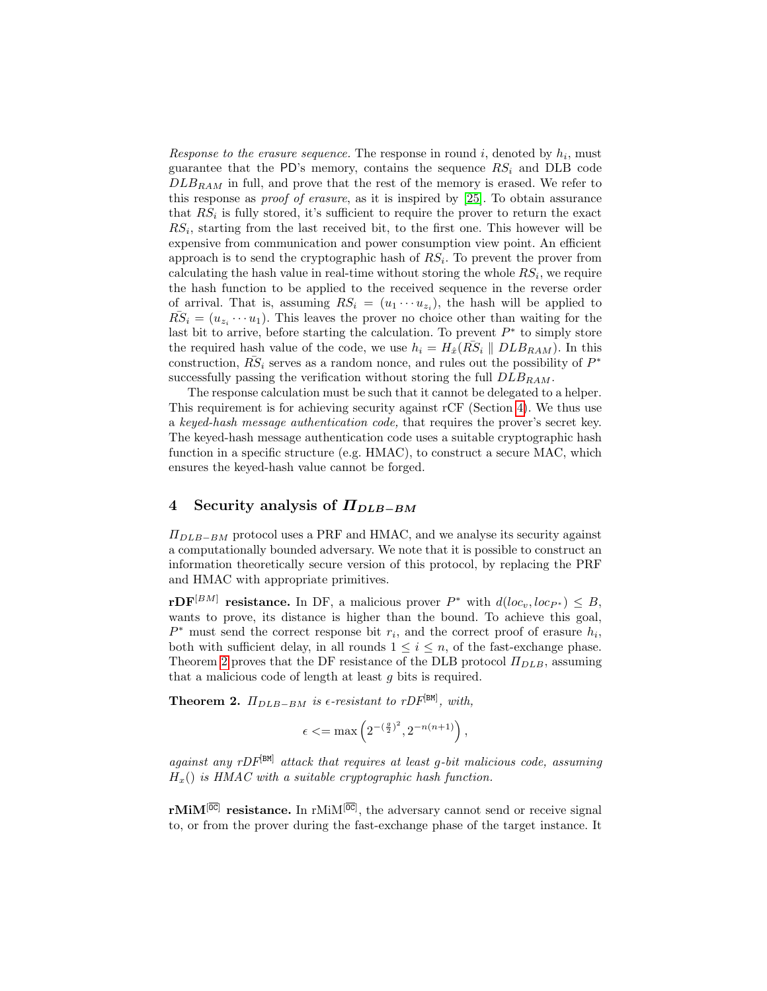Response to the erasure sequence. The response in round  $i$ , denoted by  $h_i$ , must guarantee that the PD's memory, contains the sequence  $RS_i$  and DLB code  $DLB_{RAM}$  in full, and prove that the rest of the memory is erased. We refer to this response as proof of erasure, as it is inspired by [\[25\]](#page-17-6). To obtain assurance that  $RS_i$  is fully stored, it's sufficient to require the prover to return the exact  $RS_i$ , starting from the last received bit, to the first one. This however will be expensive from communication and power consumption view point. An efficient approach is to send the cryptographic hash of  $RS_i$ . To prevent the prover from calculating the hash value in real-time without storing the whole  $RS_i$ , we require the hash function to be applied to the received sequence in the reverse order of arrival. That is, assuming  $RS_i = (u_1 \cdots u_{z_i})$ , the hash will be applied to  $R\overline{S}_i = (u_{z_i} \cdots u_1)$ . This leaves the prover no choice other than waiting for the last bit to arrive, before starting the calculation. To prevent  $P^*$  to simply store the required hash value of the code, we use  $h_i = H_{\hat{x}}(R\overline{S}_i \parallel DLB_{RAM})$ . In this construction,  $R\bar{S}_i$  serves as a random nonce, and rules out the possibility of  $P^*$ successfully passing the verification without storing the full  $DLB_{RAM}$ .

The response calculation must be such that it cannot be delegated to a helper. This requirement is for achieving security against rCF (Section [4\)](#page-12-0). We thus use a keyed-hash message authentication code, that requires the prover's secret key. The keyed-hash message authentication code uses a suitable cryptographic hash function in a specific structure (e.g. HMAC), to construct a secure MAC, which ensures the keyed-hash value cannot be forged.

## <span id="page-12-0"></span>4 Security analysis of  $\Pi_{DLR-BM}$

 $\Pi_{DLB-BM}$  protocol uses a PRF and HMAC, and we analyse its security against a computationally bounded adversary. We note that it is possible to construct an information theoretically secure version of this protocol, by replacing the PRF and HMAC with appropriate primitives.

 $\mathbf{rDF}^{[BM]}$  resistance. In DF, a malicious prover  $P^*$  with  $d(loc_v, loc_{P^*}) \leq B$ , wants to prove, its distance is higher than the bound. To achieve this goal,  $P^*$  must send the correct response bit  $r_i$ , and the correct proof of erasure  $h_i$ , both with sufficient delay, in all rounds  $1 \leq i \leq n$ , of the fast-exchange phase. Theorem [2](#page-12-1) proves that the DF resistance of the DLB protocol  $\Pi_{DLB}$ , assuming that a malicious code of length at least g bits is required.

<span id="page-12-1"></span>**Theorem 2.**  $\Pi_{DLB-BM}$  is  $\epsilon$ -resistant to rDF<sup>[BM]</sup>, with,

$$
\epsilon \leq \max\left(2^{-(\frac{g}{2})^2}, 2^{-n(n+1)}\right),
$$

against any  $rDF^{[BM]}$  attack that requires at least q-bit malicious code, assuming  $H<sub>x</sub>()$  is HMAC with a suitable cryptographic hash function.

 $r$ MiM<sup>[OC]</sup> resistance. In  $r$ MiM<sup>[OC]</sup>, the adversary cannot send or receive signal to, or from the prover during the fast-exchange phase of the target instance. It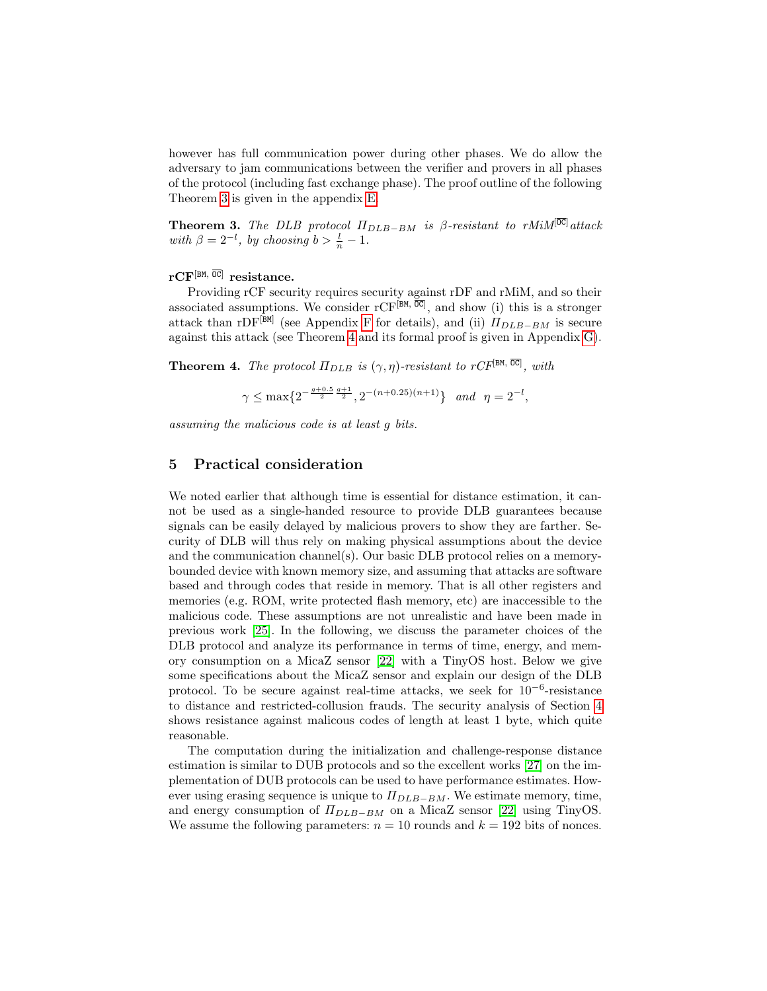however has full communication power during other phases. We do allow the adversary to jam communications between the verifier and provers in all phases of the protocol (including fast exchange phase). The proof outline of the following Theorem [3](#page-13-1) is given in the appendix [E.](#page-22-0)

<span id="page-13-1"></span>**Theorem 3.** The DLB protocol  $\Pi_{DLB-BM}$  is  $\beta$ -resistant to rMiM<sup>[OC]</sup>attack with  $\beta = 2^{-l}$ , by choosing  $b > \frac{l}{n} - 1$ .

#### $\mathrm{rCF}^{\left[\texttt{BM},\;\overline{\texttt{OC}}\right]}$  resistance.

Providing rCF security requires security against rDF and rMiM, and so their associated assumptions. We consider  $rCF^{[BM, \overline{OC}]}$ , and show (i) this is a stronger attack than rDF<sup>[BM]</sup> (see Appendix [F](#page-22-1) for details), and (ii)  $\Pi_{DLB-BM}$  is secure against this attack (see Theorem [4](#page-13-2) and its formal proof is given in Appendix [G\)](#page-23-0).

<span id="page-13-2"></span>**Theorem 4.** The protocol  $\Pi_{DLB}$  is  $(\gamma, \eta)$ -resistant to rCF<sup>[BM,  $\overline{OC}$ ], with</sup>

$$
\gamma\leq \max\{2^{-\frac{g+0.5}{2}\frac{g+1}{2}},2^{-(n+0.25)(n+1)}\}\quad and \ \ \eta=2^{-l},
$$

assuming the malicious code is at least g bits.

## <span id="page-13-0"></span>5 Practical consideration

We noted earlier that although time is essential for distance estimation, it cannot be used as a single-handed resource to provide DLB guarantees because signals can be easily delayed by malicious provers to show they are farther. Security of DLB will thus rely on making physical assumptions about the device and the communication channel(s). Our basic DLB protocol relies on a memorybounded device with known memory size, and assuming that attacks are software based and through codes that reside in memory. That is all other registers and memories (e.g. ROM, write protected flash memory, etc) are inaccessible to the malicious code. These assumptions are not unrealistic and have been made in previous work [\[25\]](#page-17-6). In the following, we discuss the parameter choices of the DLB protocol and analyze its performance in terms of time, energy, and memory consumption on a MicaZ sensor [\[22\]](#page-17-9) with a TinyOS host. Below we give some specifications about the MicaZ sensor and explain our design of the DLB protocol. To be secure against real-time attacks, we seek for  $10^{-6}$ -resistance to distance and restricted-collusion frauds. The security analysis of Section [4](#page-12-0) shows resistance against malicous codes of length at least 1 byte, which quite reasonable.

The computation during the initialization and challenge-response distance estimation is similar to DUB protocols and so the excellent works [\[27\]](#page-17-10) on the implementation of DUB protocols can be used to have performance estimates. However using erasing sequence is unique to  $\Pi_{DLB-BM}$ . We estimate memory, time, and energy consumption of  $\Pi_{DLB-BM}$  on a MicaZ sensor [\[22\]](#page-17-9) using TinyOS. We assume the following parameters:  $n = 10$  rounds and  $k = 192$  bits of nonces.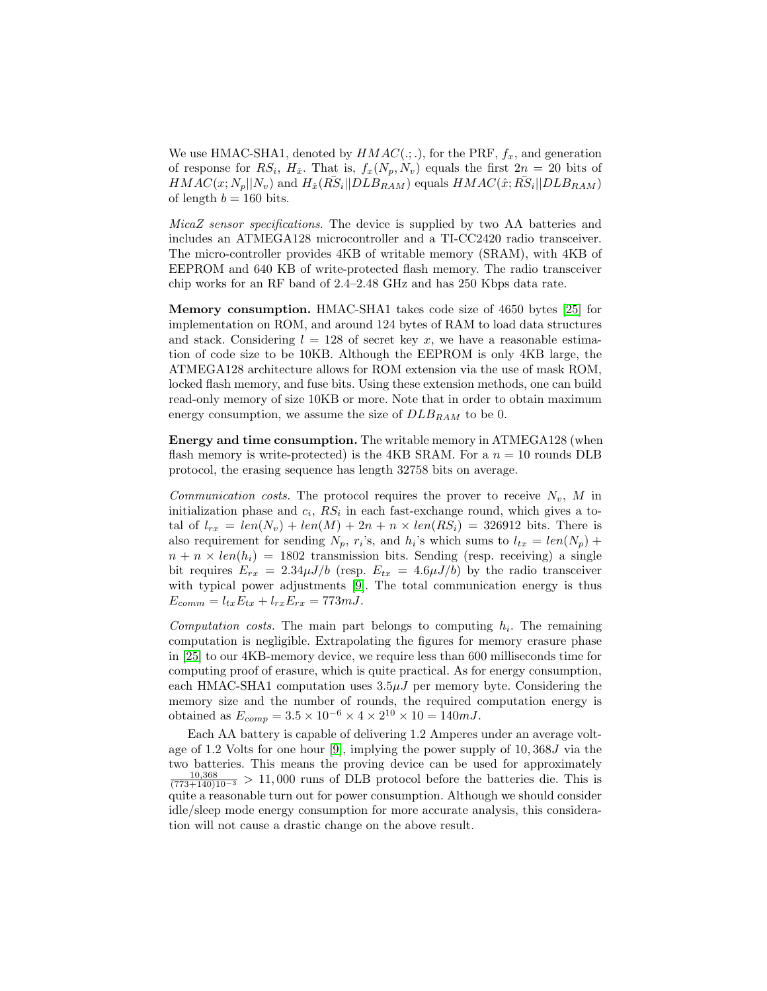We use HMAC-SHA1, denoted by  $HMAC(:,.),$  for the PRF,  $f_x$ , and generation of response for  $RS_i$ ,  $H_{\hat{x}}$ . That is,  $f_x(N_p, N_v)$  equals the first  $2n = 20$  bits of  $HMAC(x; N_p||N_v)$  and  $H_{\hat{x}}(R\overline{S}_i||DLB_{RAM})$  equals  $HMAC(\hat{x}; R\overline{S}_i||DLB_{RAM})$ of length  $b = 160$  bits.

MicaZ sensor specifications. The device is supplied by two AA batteries and includes an ATMEGA128 microcontroller and a TI-CC2420 radio transceiver. The micro-controller provides 4KB of writable memory (SRAM), with 4KB of EEPROM and 640 KB of write-protected flash memory. The radio transceiver chip works for an RF band of 2.4–2.48 GHz and has 250 Kbps data rate.

Memory consumption. HMAC-SHA1 takes code size of 4650 bytes [\[25\]](#page-17-6) for implementation on ROM, and around 124 bytes of RAM to load data structures and stack. Considering  $l = 128$  of secret key x, we have a reasonable estimation of code size to be 10KB. Although the EEPROM is only 4KB large, the ATMEGA128 architecture allows for ROM extension via the use of mask ROM, locked flash memory, and fuse bits. Using these extension methods, one can build read-only memory of size 10KB or more. Note that in order to obtain maximum energy consumption, we assume the size of  $DLB_{RAM}$  to be 0.

Energy and time consumption. The writable memory in ATMEGA128 (when flash memory is write-protected) is the 4KB SRAM. For a  $n = 10$  rounds DLB protocol, the erasing sequence has length 32758 bits on average.

*Communication costs.* The protocol requires the prover to receive  $N_v$ , M in initialization phase and  $c_i$ ,  $RS_i$  in each fast-exchange round, which gives a total of  $l_{rx} = len(N_v) + len(M) + 2n + n \times len(RS_i) = 326912$  bits. There is also requirement for sending  $N_p$ ,  $r_i$ 's, and  $h_i$ 's which sums to  $l_{tx} = len(N_p) +$  $n + n \times len(h_i) = 1802$  transmission bits. Sending (resp. receiving) a single bit requires  $E_{rx} = 2.34 \mu J/b$  (resp.  $E_{tx} = 4.6 \mu J/b$ ) by the radio transceiver with typical power adjustments [\[9\]](#page-16-9). The total communication energy is thus  $E_{comm} = l_{tx}E_{tx} + l_{rx}E_{rx} = 773 \, mJ.$ 

Computation costs. The main part belongs to computing  $h_i$ . The remaining computation is negligible. Extrapolating the figures for memory erasure phase in [\[25\]](#page-17-6) to our 4KB-memory device, we require less than 600 milliseconds time for computing proof of erasure, which is quite practical. As for energy consumption, each HMAC-SHA1 computation uses  $3.5\mu J$  per memory byte. Considering the memory size and the number of rounds, the required computation energy is obtained as  $E_{comp} = 3.5 \times 10^{-6} \times 4 \times 2^{10} \times 10 = 140 mJ$ .

Each AA battery is capable of delivering 1.2 Amperes under an average voltage of 1.2 Volts for one hour [\[9\]](#page-16-9), implying the power supply of 10, 368J via the two batteries. This means the proving device can be used for approximately  $\frac{10,368}{(773+140)10^{-3}} > 11,000$  runs of DLB protocol before the batteries die. This is quite a reasonable turn out for power consumption. Although we should consider idle/sleep mode energy consumption for more accurate analysis, this consideration will not cause a drastic change on the above result.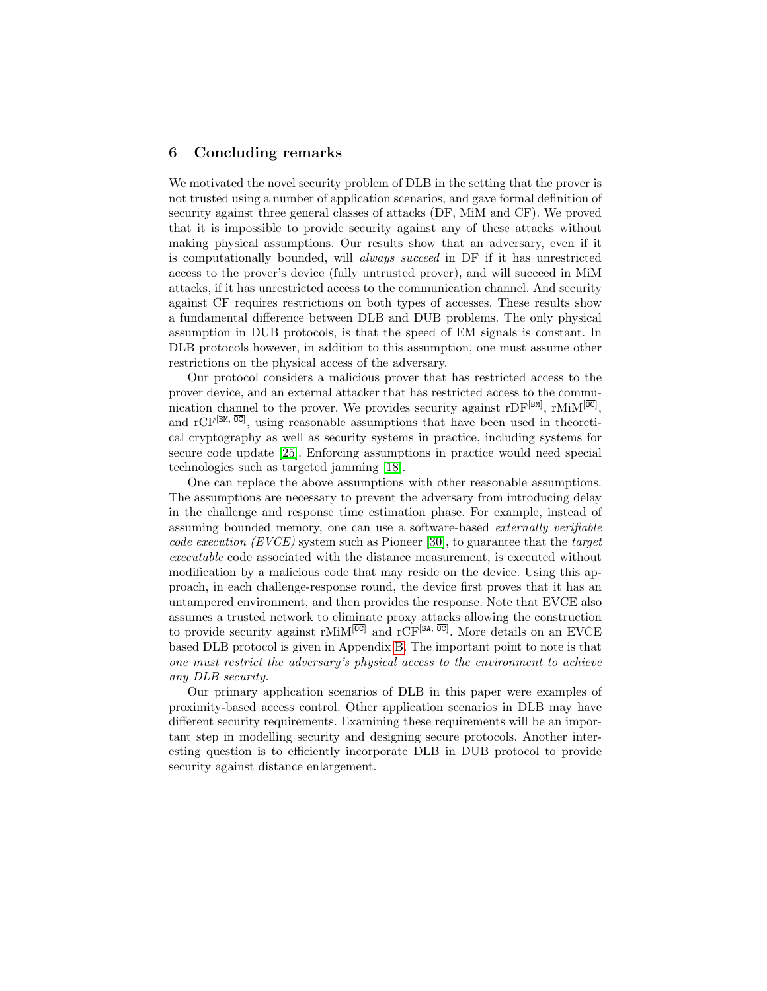#### <span id="page-15-0"></span>6 Concluding remarks

We motivated the novel security problem of DLB in the setting that the prover is not trusted using a number of application scenarios, and gave formal definition of security against three general classes of attacks (DF, MiM and CF). We proved that it is impossible to provide security against any of these attacks without making physical assumptions. Our results show that an adversary, even if it is computationally bounded, will always succeed in DF if it has unrestricted access to the prover's device (fully untrusted prover), and will succeed in MiM attacks, if it has unrestricted access to the communication channel. And security against CF requires restrictions on both types of accesses. These results show a fundamental difference between DLB and DUB problems. The only physical assumption in DUB protocols, is that the speed of EM signals is constant. In DLB protocols however, in addition to this assumption, one must assume other restrictions on the physical access of the adversary.

Our protocol considers a malicious prover that has restricted access to the prover device, and an external attacker that has restricted access to the communication channel to the prover. We provides security against rDF<sup>[BM]</sup>, rMiM<sup>[OC]</sup>, and  $\mathrm{rCF}^{[BM, \overline{00}]}$ , using reasonable assumptions that have been used in theoretical cryptography as well as security systems in practice, including systems for secure code update [\[25\]](#page-17-6). Enforcing assumptions in practice would need special technologies such as targeted jamming [\[18\]](#page-16-10).

One can replace the above assumptions with other reasonable assumptions. The assumptions are necessary to prevent the adversary from introducing delay in the challenge and response time estimation phase. For example, instead of assuming bounded memory, one can use a software-based externally verifiable code execution (EVCE) system such as Pioneer [\[30\]](#page-17-11), to guarantee that the target executable code associated with the distance measurement, is executed without modification by a malicious code that may reside on the device. Using this approach, in each challenge-response round, the device first proves that it has an untampered environment, and then provides the response. Note that EVCE also assumes a trusted network to eliminate proxy attacks allowing the construction to provide security against rMiM<sup>[OC]</sup> and rCF<sup>[SA, OC]</sup>. More details on an EVCE based DLB protocol is given in Appendix [B.](#page-18-0) The important point to note is that one must restrict the adversary's physical access to the environment to achieve any DLB security.

Our primary application scenarios of DLB in this paper were examples of proximity-based access control. Other application scenarios in DLB may have different security requirements. Examining these requirements will be an important step in modelling security and designing secure protocols. Another interesting question is to efficiently incorporate DLB in DUB protocol to provide security against distance enlargement.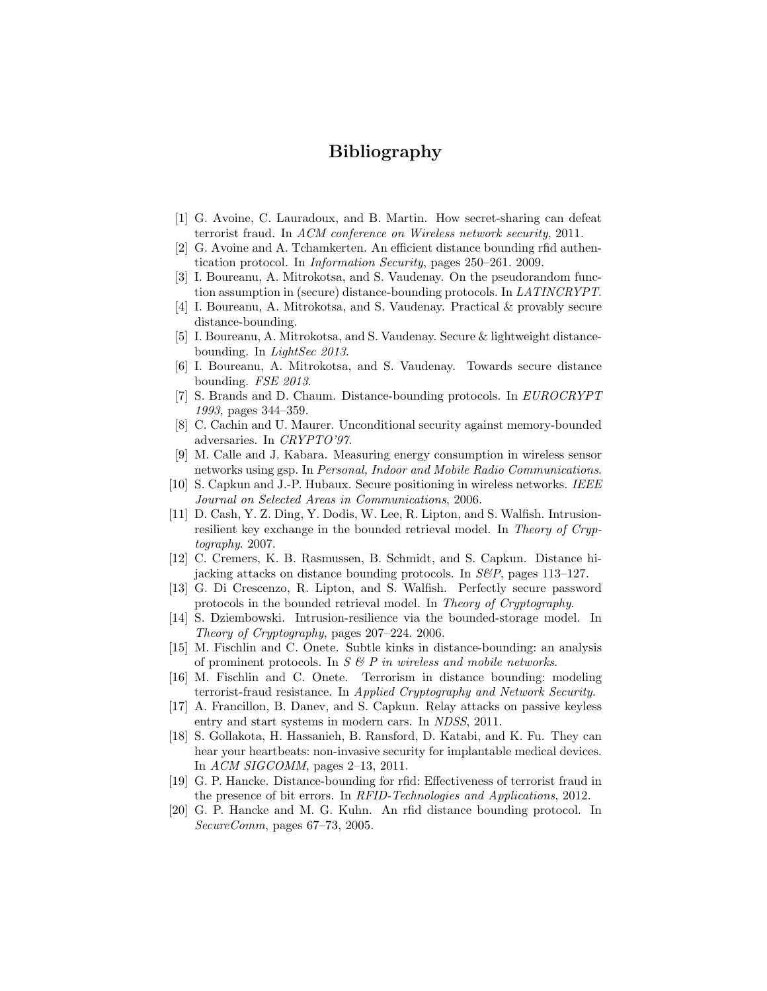# Bibliography

- <span id="page-16-8"></span>[1] G. Avoine, C. Lauradoux, and B. Martin. How secret-sharing can defeat terrorist fraud. In ACM conference on Wireless network security, 2011.
- <span id="page-16-2"></span>[2] G. Avoine and A. Tchamkerten. An efficient distance bounding rfid authentication protocol. In Information Security, pages 250–261. 2009.
- <span id="page-16-11"></span>[3] I. Boureanu, A. Mitrokotsa, and S. Vaudenay. On the pseudorandom function assumption in (secure) distance-bounding protocols. In LATINCRYPT.
- <span id="page-16-15"></span>[4] I. Boureanu, A. Mitrokotsa, and S. Vaudenay. Practical & provably secure distance-bounding.
- <span id="page-16-4"></span>[5] I. Boureanu, A. Mitrokotsa, and S. Vaudenay. Secure & lightweight distancebounding. In LightSec 2013.
- <span id="page-16-16"></span>[6] I. Boureanu, A. Mitrokotsa, and S. Vaudenay. Towards secure distance bounding. FSE 2013.
- <span id="page-16-0"></span>[7] S. Brands and D. Chaum. Distance-bounding protocols. In EUROCRYPT 1993, pages 344–359.
- <span id="page-16-7"></span>[8] C. Cachin and U. Maurer. Unconditional security against memory-bounded adversaries. In CRYPTO'97.
- <span id="page-16-9"></span>[9] M. Calle and J. Kabara. Measuring energy consumption in wireless sensor networks using gsp. In Personal, Indoor and Mobile Radio Communications.
- <span id="page-16-3"></span>[10] S. Capkun and J.-P. Hubaux. Secure positioning in wireless networks. IEEE Journal on Selected Areas in Communications, 2006.
- <span id="page-16-17"></span>[11] D. Cash, Y. Z. Ding, Y. Dodis, W. Lee, R. Lipton, and S. Walfish. Intrusionresilient key exchange in the bounded retrieval model. In Theory of Cryptography. 2007.
- <span id="page-16-6"></span>[12] C. Cremers, K. B. Rasmussen, B. Schmidt, and S. Capkun. Distance hijacking attacks on distance bounding protocols. In  $S\&P$ , pages 113–127.
- <span id="page-16-18"></span>[13] G. Di Crescenzo, R. Lipton, and S. Walfish. Perfectly secure password protocols in the bounded retrieval model. In Theory of Cryptography.
- <span id="page-16-19"></span>[14] S. Dziembowski. Intrusion-resilience via the bounded-storage model. In Theory of Cryptography, pages 207–224. 2006.
- <span id="page-16-13"></span>[15] M. Fischlin and C. Onete. Subtle kinks in distance-bounding: an analysis of prominent protocols. In  $S \& P$  in wireless and mobile networks.
- <span id="page-16-14"></span>[16] M. Fischlin and C. Onete. Terrorism in distance bounding: modeling terrorist-fraud resistance. In Applied Cryptography and Network Security.
- <span id="page-16-1"></span>[17] A. Francillon, B. Danev, and S. Capkun. Relay attacks on passive keyless entry and start systems in modern cars. In NDSS, 2011.
- <span id="page-16-10"></span>[18] S. Gollakota, H. Hassanieh, B. Ransford, D. Katabi, and K. Fu. They can hear your heartbeats: non-invasive security for implantable medical devices. In ACM SIGCOMM, pages 2–13, 2011.
- <span id="page-16-12"></span>[19] G. P. Hancke. Distance-bounding for rfid: Effectiveness of terrorist fraud in the presence of bit errors. In RFID-Technologies and Applications, 2012.
- <span id="page-16-5"></span>[20] G. P. Hancke and M. G. Kuhn. An rfid distance bounding protocol. In SecureComm, pages 67–73, 2005.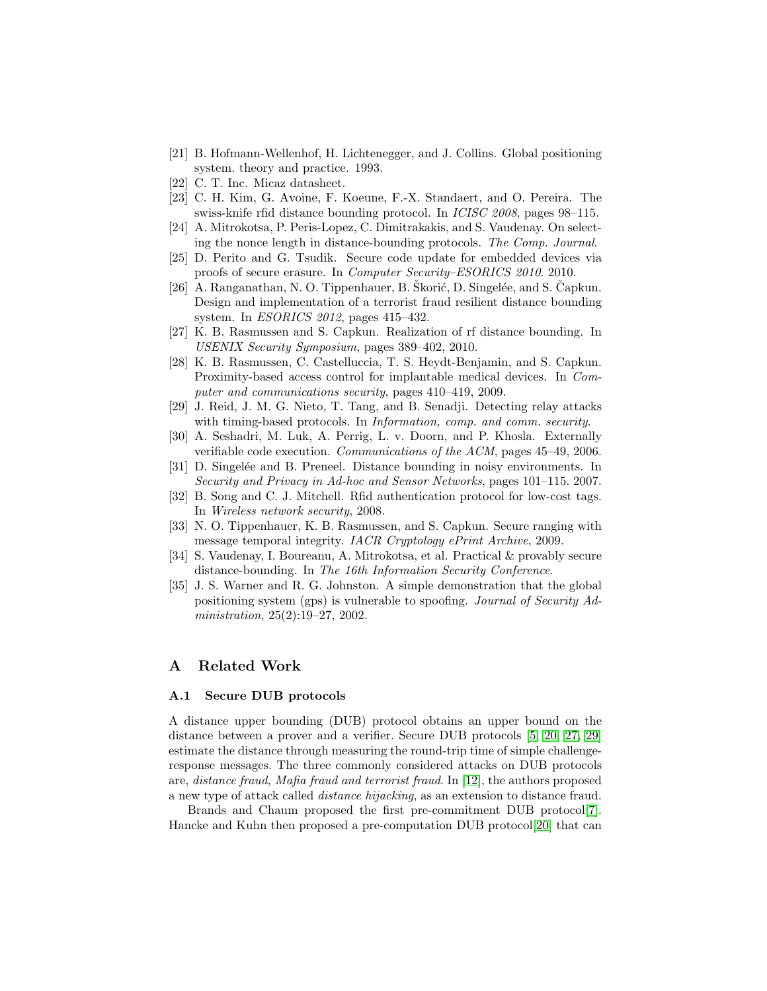- <span id="page-17-2"></span>[21] B. Hofmann-Wellenhof, H. Lichtenegger, and J. Collins. Global positioning system. theory and practice. 1993.
- <span id="page-17-9"></span>[22] C. T. Inc. Micaz datasheet.
- <span id="page-17-13"></span>[23] C. H. Kim, G. Avoine, F. Koeune, F.-X. Standaert, and O. Pereira. The swiss-knife rfid distance bounding protocol. In ICISC 2008, pages 98–115.
- <span id="page-17-15"></span>[24] A. Mitrokotsa, P. Peris-Lopez, C. Dimitrakakis, and S. Vaudenay. On selecting the nonce length in distance-bounding protocols. The Comp. Journal.
- <span id="page-17-6"></span>[25] D. Perito and G. Tsudik. Secure code update for embedded devices via proofs of secure erasure. In Computer Security–ESORICS 2010. 2010.
- <span id="page-17-14"></span>[26] A. Ranganathan, N. O. Tippenhauer, B. Škorić, D. Singelée, and S. Čapkun. Design and implementation of a terrorist fraud resilient distance bounding system. In *ESORICS* 2012, pages 415-432.
- <span id="page-17-10"></span>[27] K. B. Rasmussen and S. Capkun. Realization of rf distance bounding. In USENIX Security Symposium, pages 389–402, 2010.
- <span id="page-17-0"></span>[28] K. B. Rasmussen, C. Castelluccia, T. S. Heydt-Benjamin, and S. Capkun. Proximity-based access control for implantable medical devices. In Computer and communications security, pages 410–419, 2009.
- <span id="page-17-12"></span>[29] J. Reid, J. M. G. Nieto, T. Tang, and B. Senadji. Detecting relay attacks with timing-based protocols. In *Information, comp. and comm. security*.
- <span id="page-17-11"></span>[30] A. Seshadri, M. Luk, A. Perrig, L. v. Doorn, and P. Khosla. Externally verifiable code execution. Communications of the ACM, pages 45–49, 2006.
- <span id="page-17-8"></span>[31] D. Singelée and B. Preneel. Distance bounding in noisy environments. In Security and Privacy in Ad-hoc and Sensor Networks, pages 101–115. 2007.
- <span id="page-17-1"></span>[32] B. Song and C. J. Mitchell. Rfid authentication protocol for low-cost tags. In Wireless network security, 2008.
- <span id="page-17-5"></span>[33] N. O. Tippenhauer, K. B. Rasmussen, and S. Capkun. Secure ranging with message temporal integrity. *IACR Cryptology ePrint Archive*, 2009.
- <span id="page-17-4"></span>[34] S. Vaudenay, I. Boureanu, A. Mitrokotsa, et al. Practical & provably secure distance-bounding. In The 16th Information Security Conference.
- <span id="page-17-3"></span>[35] J. S. Warner and R. G. Johnston. A simple demonstration that the global positioning system (gps) is vulnerable to spoofing. Journal of Security Administration, 25(2):19–27, 2002.

### <span id="page-17-7"></span>A Related Work

#### A.1 Secure DUB protocols

A distance upper bounding (DUB) protocol obtains an upper bound on the distance between a prover and a verifier. Secure DUB protocols [\[5,](#page-16-4) [20,](#page-16-5) [27,](#page-17-10) [29\]](#page-17-12) estimate the distance through measuring the round-trip time of simple challengeresponse messages. The three commonly considered attacks on DUB protocols are, distance fraud, Mafia fraud and terrorist fraud. In [\[12\]](#page-16-6), the authors proposed a new type of attack called distance hijacking, as an extension to distance fraud.

Brands and Chaum proposed the first pre-commitment DUB protocol[\[7\]](#page-16-0). Hancke and Kuhn then proposed a pre-computation DUB protocol[\[20\]](#page-16-5) that can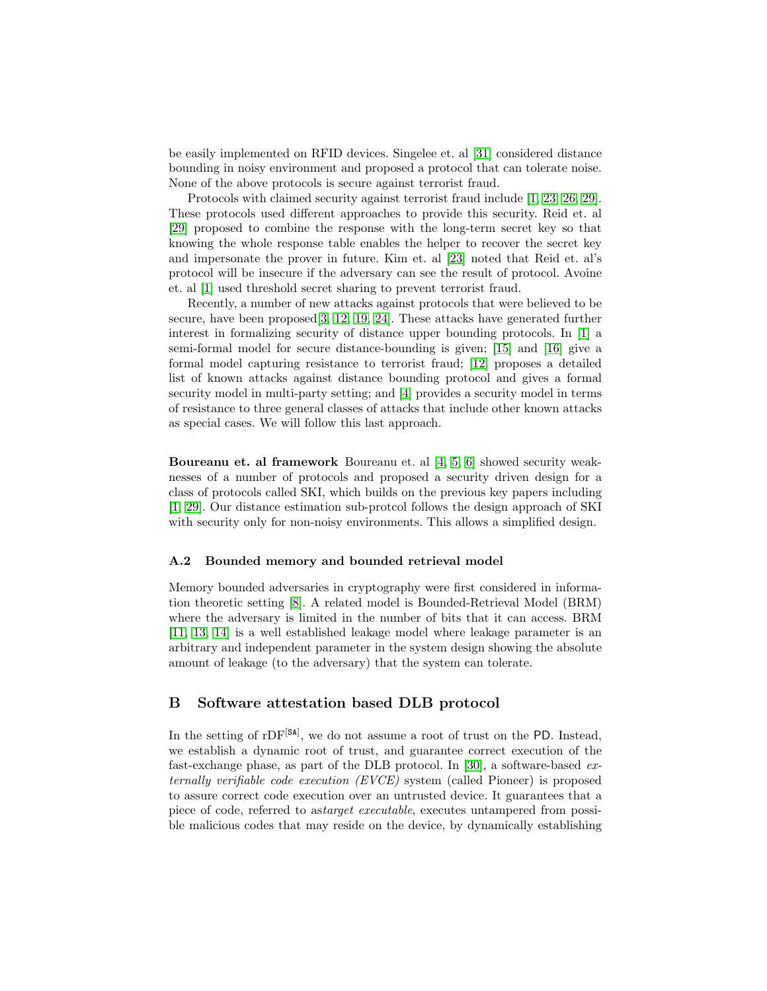be easily implemented on RFID devices. Singelee et. al [\[31\]](#page-17-8) considered distance bounding in noisy environment and proposed a protocol that can tolerate noise. None of the above protocols is secure against terrorist fraud.

Protocols with claimed security against terrorist fraud include [\[1,](#page-16-8) [23,](#page-17-13) [26,](#page-17-14) [29\]](#page-17-12). These protocols used different approaches to provide this security. Reid et. al [\[29\]](#page-17-12) proposed to combine the response with the long-term secret key so that knowing the whole response table enables the helper to recover the secret key and impersonate the prover in future. Kim et. al [\[23\]](#page-17-13) noted that Reid et. al's protocol will be insecure if the adversary can see the result of protocol. Avoine et. al [\[1\]](#page-16-8) used threshold secret sharing to prevent terrorist fraud.

Recently, a number of new attacks against protocols that were believed to be secure, have been proposed[\[3,](#page-16-11) [12,](#page-16-6) [19,](#page-16-12) [24\]](#page-17-15). These attacks have generated further interest in formalizing security of distance upper bounding protocols. In [\[1\]](#page-16-8) a semi-formal model for secure distance-bounding is given; [\[15\]](#page-16-13) and [\[16\]](#page-16-14) give a formal model capturing resistance to terrorist fraud; [\[12\]](#page-16-6) proposes a detailed list of known attacks against distance bounding protocol and gives a formal security model in multi-party setting; and [\[4\]](#page-16-15) provides a security model in terms of resistance to three general classes of attacks that include other known attacks as special cases. We will follow this last approach.

Boureanu et. al framework Boureanu et. al [\[4,](#page-16-15) [5,](#page-16-4) [6\]](#page-16-16) showed security weaknesses of a number of protocols and proposed a security driven design for a class of protocols called SKI, which builds on the previous key papers including [\[1,](#page-16-8) [29\]](#page-17-12). Our distance estimation sub-protcol follows the design approach of SKI with security only for non-noisy environments. This allows a simplified design.

#### A.2 Bounded memory and bounded retrieval model

Memory bounded adversaries in cryptography were first considered in information theoretic setting [\[8\]](#page-16-7). A related model is Bounded-Retrieval Model (BRM) where the adversary is limited in the number of bits that it can access. BRM [\[11,](#page-16-17) [13,](#page-16-18) [14\]](#page-16-19) is a well established leakage model where leakage parameter is an arbitrary and independent parameter in the system design showing the absolute amount of leakage (to the adversary) that the system can tolerate.

#### <span id="page-18-0"></span>B Software attestation based DLB protocol

In the setting of rDF<sup>[SA]</sup>, we do not assume a root of trust on the PD. Instead, we establish a dynamic root of trust, and guarantee correct execution of the fast-exchange phase, as part of the DLB protocol. In [\[30\]](#page-17-11), a software-based externally verifiable code execution (EVCE) system (called Pioneer) is proposed to assure correct code execution over an untrusted device. It guarantees that a piece of code, referred to astarget executable, executes untampered from possible malicious codes that may reside on the device, by dynamically establishing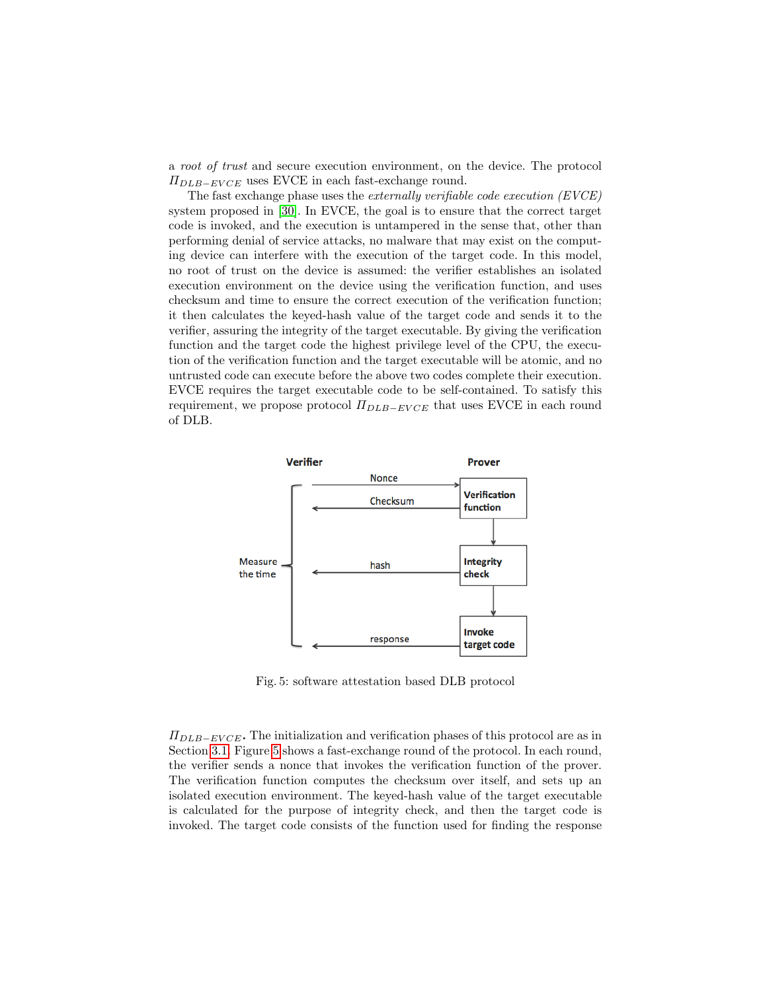a root of trust and secure execution environment, on the device. The protocol  $\Pi_{DLB-EVCE}$  uses EVCE in each fast-exchange round.

The fast exchange phase uses the externally verifiable code execution (EVCE) system proposed in [\[30\]](#page-17-11). In EVCE, the goal is to ensure that the correct target code is invoked, and the execution is untampered in the sense that, other than performing denial of service attacks, no malware that may exist on the computing device can interfere with the execution of the target code. In this model, no root of trust on the device is assumed: the verifier establishes an isolated execution environment on the device using the verification function, and uses checksum and time to ensure the correct execution of the verification function; it then calculates the keyed-hash value of the target code and sends it to the verifier, assuring the integrity of the target executable. By giving the verification function and the target code the highest privilege level of the CPU, the execution of the verification function and the target executable will be atomic, and no untrusted code can execute before the above two codes complete their execution. EVCE requires the target executable code to be self-contained. To satisfy this requirement, we propose protocol  $\Pi_{DLB-EVCE}$  that uses EVCE in each round of DLB.

<span id="page-19-0"></span>

Fig. 5: software attestation based DLB protocol

 $\Pi_{DLB-EVCE}$ . The initialization and verification phases of this protocol are as in Section [3.1.](#page-9-1) Figure [5](#page-19-0) shows a fast-exchange round of the protocol. In each round, the verifier sends a nonce that invokes the verification function of the prover. The verification function computes the checksum over itself, and sets up an isolated execution environment. The keyed-hash value of the target executable is calculated for the purpose of integrity check, and then the target code is invoked. The target code consists of the function used for finding the response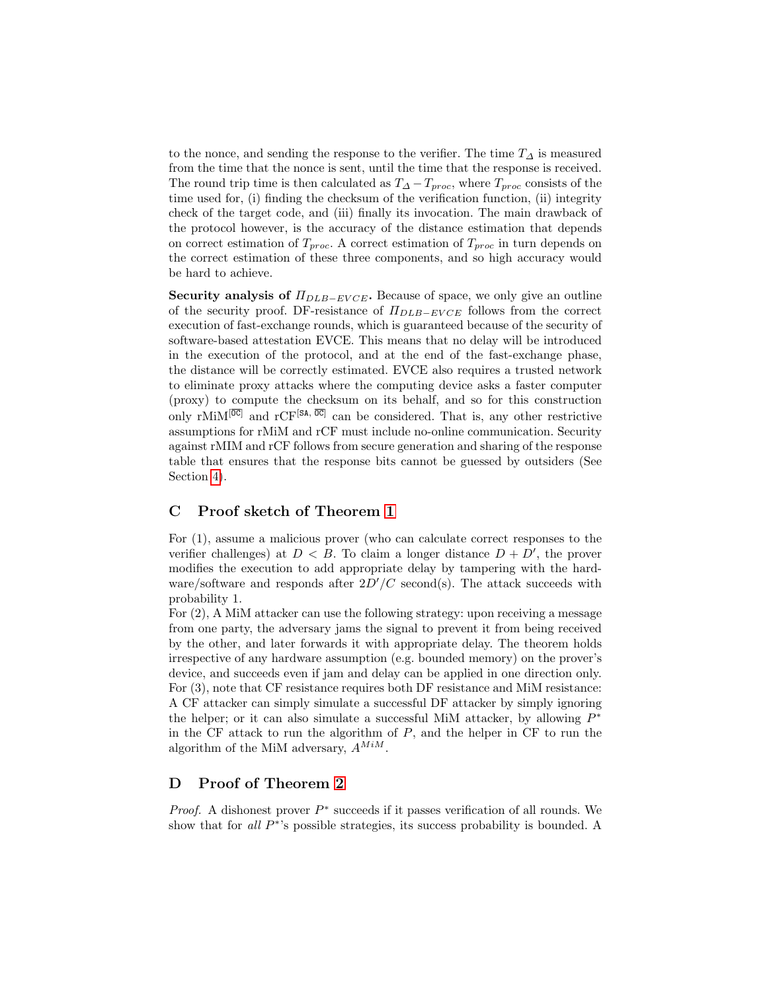to the nonce, and sending the response to the verifier. The time  $T_{\Delta}$  is measured from the time that the nonce is sent, until the time that the response is received. The round trip time is then calculated as  $T_{\Delta}-T_{proc}$ , where  $T_{proc}$  consists of the time used for, (i) finding the checksum of the verification function, (ii) integrity check of the target code, and (iii) finally its invocation. The main drawback of the protocol however, is the accuracy of the distance estimation that depends on correct estimation of  $T_{proc}$ . A correct estimation of  $T_{proc}$  in turn depends on the correct estimation of these three components, and so high accuracy would be hard to achieve.

Security analysis of  $\Pi_{DLB-EVCE}$ . Because of space, we only give an outline of the security proof. DF-resistance of  $\Pi_{DLB-EVCE}$  follows from the correct execution of fast-exchange rounds, which is guaranteed because of the security of software-based attestation EVCE. This means that no delay will be introduced in the execution of the protocol, and at the end of the fast-exchange phase, the distance will be correctly estimated. EVCE also requires a trusted network to eliminate proxy attacks where the computing device asks a faster computer (proxy) to compute the checksum on its behalf, and so for this construction only rMiM<sup>[ $\overline{OC}$ </sup>] and rCF<sup>[SA,  $\overline{OC}$ </sup>] can be considered. That is, any other restrictive assumptions for rMiM and rCF must include no-online communication. Security against rMIM and rCF follows from secure generation and sharing of the response table that ensures that the response bits cannot be guessed by outsiders (See Section [4\)](#page-12-0).

#### <span id="page-20-0"></span>C Proof sketch of Theorem [1](#page-7-0)

For (1), assume a malicious prover (who can calculate correct responses to the verifier challenges) at  $D < B$ . To claim a longer distance  $D + D'$ , the prover modifies the execution to add appropriate delay by tampering with the hardware/software and responds after  $2D'/C$  second(s). The attack succeeds with probability 1.

For (2), A MiM attacker can use the following strategy: upon receiving a message from one party, the adversary jams the signal to prevent it from being received by the other, and later forwards it with appropriate delay. The theorem holds irrespective of any hardware assumption (e.g. bounded memory) on the prover's device, and succeeds even if jam and delay can be applied in one direction only. For (3), note that CF resistance requires both DF resistance and MiM resistance: A CF attacker can simply simulate a successful DF attacker by simply ignoring the helper; or it can also simulate a successful MiM attacker, by allowing  $P^*$ in the CF attack to run the algorithm of P, and the helper in CF to run the algorithm of the MiM adversary,  $A^{MiM}$ .

## D Proof of Theorem [2](#page-12-1)

*Proof.* A dishonest prover  $P^*$  succeeds if it passes verification of all rounds. We show that for  $all P^*$ 's possible strategies, its success probability is bounded. A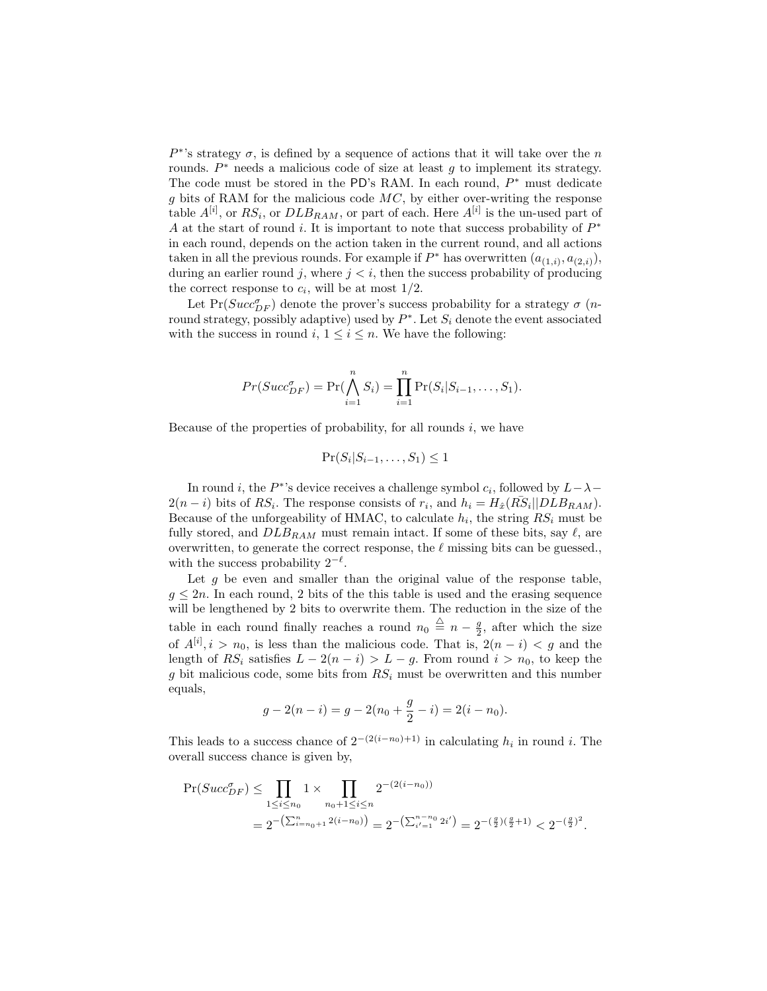$P^*$ 's strategy  $\sigma$ , is defined by a sequence of actions that it will take over the n rounds.  $P^*$  needs a malicious code of size at least g to implement its strategy. The code must be stored in the PD's RAM. In each round,  $P^*$  must dedicate  $g$  bits of RAM for the malicious code  $MC$ , by either over-writing the response table  $A^{[i]}$ , or  $RS_i$ , or  $DLB_{RAM}$ , or part of each. Here  $A^{[i]}$  is the un-used part of A at the start of round i. It is important to note that success probability of  $P^*$ in each round, depends on the action taken in the current round, and all actions taken in all the previous rounds. For example if  $P^*$  has overwritten  $(a_{(1,i)}, a_{(2,i)})$ , during an earlier round j, where  $j < i$ , then the success probability of producing the correct response to  $c_i$ , will be at most  $1/2$ .

Let  $Pr(Succ_{DF}^{\sigma})$  denote the prover's success probability for a strategy  $\sigma$  (*n*round strategy, possibly adaptive) used by  $P^*$ . Let  $S_i$  denote the event associated with the success in round i,  $1 \leq i \leq n$ . We have the following:

$$
Pr(Succ_{DF}^{\sigma}) = Pr(\bigwedge_{i=1}^{n} S_i) = \prod_{i=1}^{n} Pr(S_i|S_{i-1},...,S_1).
$$

Because of the properties of probability, for all rounds  $i$ , we have

$$
\Pr(S_i|S_{i-1},\ldots,S_1) \le 1
$$

In round *i*, the  $P^*$ 's device receives a challenge symbol  $c_i$ , followed by  $L - \lambda$  $2(n-i)$  bits of RS<sub>i</sub>. The response consists of  $r_i$ , and  $h_i = H_{\hat{x}}(R\overline{S}_i||DLR_{RAM})$ . Because of the unforgeability of HMAC, to calculate  $h_i$ , the string  $RS_i$  must be fully stored, and  $DLB_{RAM}$  must remain intact. If some of these bits, say  $\ell$ , are overwritten, to generate the correct response, the  $\ell$  missing bits can be guessed. with the success probability  $2^{-\ell}$ .

Let  $g$  be even and smaller than the original value of the response table,  $q \leq 2n$ . In each round, 2 bits of the this table is used and the erasing sequence will be lengthened by 2 bits to overwrite them. The reduction in the size of the table in each round finally reaches a round  $n_0 \stackrel{\triangle}{=} n - \frac{g}{2}$ , after which the size of  $A^{[i]}$ ,  $i > n_0$ , is less than the malicious code. That is,  $2(n - i) < g$  and the length of RS<sub>i</sub> satisfies  $L - 2(n - i) > L - g$ . From round  $i > n_0$ , to keep the g bit malicious code, some bits from  $RS_i$  must be overwritten and this number equals,

$$
g - 2(n - i) = g - 2(n0 + \frac{g}{2} - i) = 2(i - n0).
$$

This leads to a success chance of  $2^{-(2(i-n_0)+1)}$  in calculating  $h_i$  in round i. The overall success chance is given by,

$$
\Pr(Succ_{DF}^{n}) \leq \prod_{1 \leq i \leq n_0} 1 \times \prod_{n_0 + 1 \leq i \leq n} 2^{-(2(i - n_0))}
$$
  
=  $2^{-(\sum_{i=n_0+1}^{n} 2(i - n_0))} = 2^{-(\sum_{i'=1}^{n} 2i')} = 2^{-(\frac{g}{2})(\frac{g}{2}+1)} < 2^{-(\frac{g}{2})^2}.$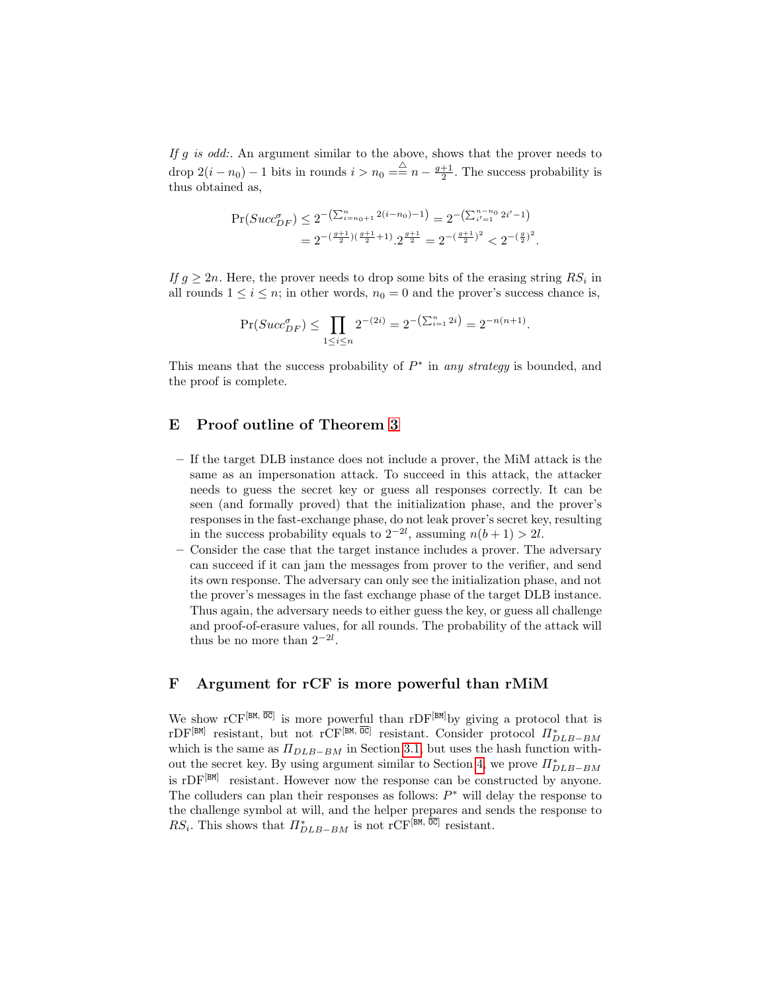If g is odd:. An argument similar to the above, shows that the prover needs to drop  $2(i - n_0) - 1$  bits in rounds  $i > n_0 = \frac{\triangle}{n} n - \frac{g+1}{2}$ . The success probability is thus obtained as,

$$
\Pr(Succ_{DF}^{a}) \le 2^{-\left(\sum_{i=n_0+1}^{n} 2(i-n_0)-1\right)} = 2^{-\left(\sum_{i'=1}^{n-n_0} 2i'-1\right)}
$$
  
=  $2^{-\left(\frac{g+1}{2}\right)\left(\frac{g+1}{2}+1\right)} \cdot 2^{\frac{g+1}{2}} = 2^{-\left(\frac{g+1}{2}\right)^2} < 2^{-\left(\frac{g}{2}\right)^2}$ .

If  $g \geq 2n$ . Here, the prover needs to drop some bits of the erasing string  $RS_i$  in all rounds  $1 \leq i \leq n$ ; in other words,  $n_0 = 0$  and the prover's success chance is,

$$
\Pr(Succ_{DF}^{\sigma}) \le \prod_{1 \le i \le n} 2^{-(2i)} = 2^{-\left(\sum_{i=1}^{n} 2i\right)} = 2^{-n(n+1)}.
$$

This means that the success probability of  $P^*$  in any strategy is bounded, and the proof is complete.

### <span id="page-22-0"></span>E Proof outline of Theorem [3](#page-13-1)

- If the target DLB instance does not include a prover, the MiM attack is the same as an impersonation attack. To succeed in this attack, the attacker needs to guess the secret key or guess all responses correctly. It can be seen (and formally proved) that the initialization phase, and the prover's responses in the fast-exchange phase, do not leak prover's secret key, resulting in the success probability equals to  $2^{-2l}$ , assuming  $n(b+1) > 2l$ .
- Consider the case that the target instance includes a prover. The adversary can succeed if it can jam the messages from prover to the verifier, and send its own response. The adversary can only see the initialization phase, and not the prover's messages in the fast exchange phase of the target DLB instance. Thus again, the adversary needs to either guess the key, or guess all challenge and proof-of-erasure values, for all rounds. The probability of the attack will thus be no more than  $2^{-2l}$ .

## <span id="page-22-1"></span>F Argument for rCF is more powerful than rMiM

We show  $\mathrm{rCF}^{[BM, \overline{OC}]}$  is more powerful than  $\mathrm{rDF}^{[BM]}$  by giving a protocol that is rDF<sup>[BM]</sup> resistant, but not rCF<sup>[BM,  $\overline{0C}$ ] resistant. Consider protocol  $\Pi_{DLB-BM}^{*}$ </sup> which is the same as  $\Pi_{DLB-BM}$  in Section [3.1,](#page-9-1) but uses the hash function with-out the secret key. By using argument similar to Section [4,](#page-12-0) we prove  $\prod_{DLB-BM}^{*}$ is  $rDF^{[BM]}$  resistant. However now the response can be constructed by anyone. The colluders can plan their responses as follows:  $P^*$  will delay the response to the challenge symbol at will, and the helper prepares and sends the response to  $RS_i$ . This shows that  $\prod_{DLB-BM}^*$  is not rCF<sup>[BM,  $\overline{0C}$ ]</sup> resistant.